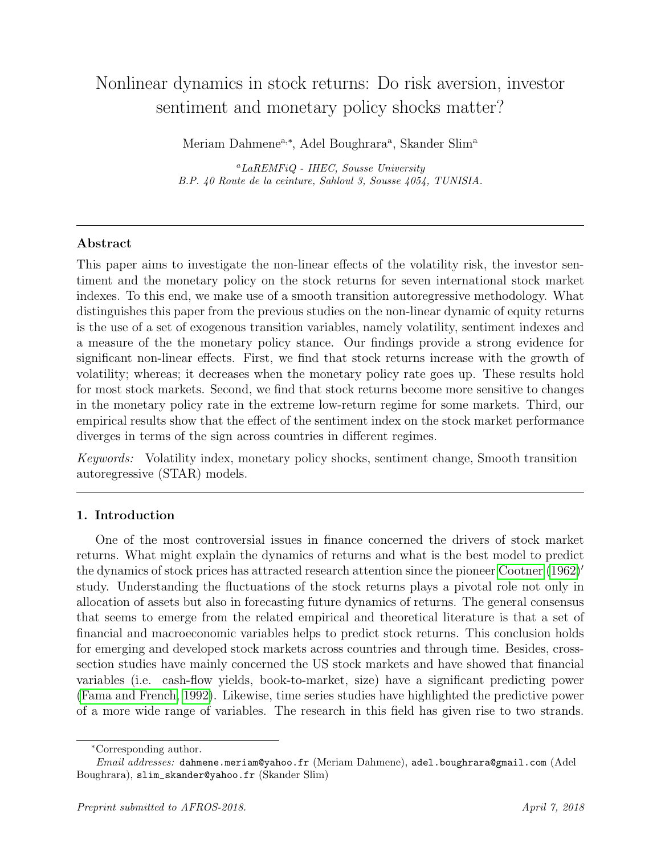# Nonlinear dynamics in stock returns: Do risk aversion, investor sentiment and monetary policy shocks matter?

Meriam Dahmene<sup>a,\*</sup>, Adel Boughrara<sup>a</sup>, Skander Slim<sup>a</sup>

 ${}^a$ LaREMFiQ - IHEC, Sousse UniversityB.P. 40 Route de la ceinture, Sahloul 3, Sousse 4054, TUNISIA.

# Abstract

This paper aims to investigate the non-linear effects of the volatility risk, the investor sentiment and the monetary policy on the stock returns for seven international stock market indexes. To this end, we make use of a smooth transition autoregressive methodology. What distinguishes this paper from the previous studies on the non-linear dynamic of equity returns is the use of a set of exogenous transition variables, namely volatility, sentiment indexes and a measure of the the monetary policy stance. Our findings provide a strong evidence for significant non-linear effects. First, we find that stock returns increase with the growth of volatility; whereas; it decreases when the monetary policy rate goes up. These results hold for most stock markets. Second, we find that stock returns become more sensitive to changes in the monetary policy rate in the extreme low-return regime for some markets. Third, our empirical results show that the effect of the sentiment index on the stock market performance diverges in terms of the sign across countries in different regimes.

Keywords: Volatility index, monetary policy shocks, sentiment change, Smooth transition autoregressive (STAR) models.

# 1. Introduction

One of the most controversial issues in finance concerned the drivers of stock market returns. What might explain the dynamics of returns and what is the best model to predict the dynamics of stock prices has attracted research attention since the pioneer [Cootner](#page-22-0)  $(1962)'$  $(1962)'$ study. Understanding the fluctuations of the stock returns plays a pivotal role not only in allocation of assets but also in forecasting future dynamics of returns. The general consensus that seems to emerge from the related empirical and theoretical literature is that a set of financial and macroeconomic variables helps to predict stock returns. This conclusion holds for emerging and developed stock markets across countries and through time. Besides, crosssection studies have mainly concerned the US stock markets and have showed that financial variables (i.e. cash-flow yields, book-to-market, size) have a significant predicting power [\(Fama and French, 1992\)](#page-23-0). Likewise, time series studies have highlighted the predictive power of a more wide range of variables. The research in this field has given rise to two strands.

<sup>∗</sup>Corresponding author.

Email addresses: dahmene.meriam@yahoo.fr (Meriam Dahmene), adel.boughrara@gmail.com (Adel Boughrara), slim\_skander@yahoo.fr (Skander Slim)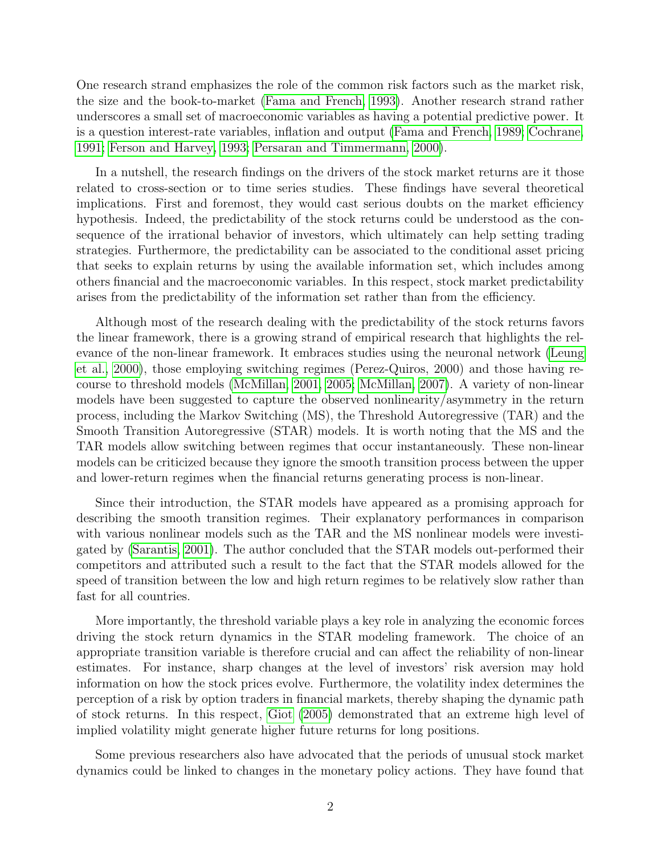One research strand emphasizes the role of the common risk factors such as the market risk, the size and the book-to-market [\(Fama and French, 1993\)](#page-23-1). Another research strand rather underscores a small set of macroeconomic variables as having a potential predictive power. It is a question interest-rate variables, inflation and output [\(Fama and French, 1989;](#page-23-2) [Cochrane,](#page-22-1) [1991;](#page-22-1) [Ferson and Harvey, 1993;](#page-23-3) [Persaran and Timmermann, 2000\)](#page-24-0).

In a nutshell, the research findings on the drivers of the stock market returns are it those related to cross-section or to time series studies. These findings have several theoretical implications. First and foremost, they would cast serious doubts on the market efficiency hypothesis. Indeed, the predictability of the stock returns could be understood as the consequence of the irrational behavior of investors, which ultimately can help setting trading strategies. Furthermore, the predictability can be associated to the conditional asset pricing that seeks to explain returns by using the available information set, which includes among others financial and the macroeconomic variables. In this respect, stock market predictability arises from the predictability of the information set rather than from the efficiency.

Although most of the research dealing with the predictability of the stock returns favors the linear framework, there is a growing strand of empirical research that highlights the relevance of the non-linear framework. It embraces studies using the neuronal network [\(Leung](#page-23-4) [et al., 2000\)](#page-23-4), those employing switching regimes (Perez-Quiros, 2000) and those having recourse to threshold models [\(McMillan, 2001,](#page-24-1) [2005;](#page-24-2) [McMillan, 2007\)](#page-24-3). A variety of non-linear models have been suggested to capture the observed nonlinearity/asymmetry in the return process, including the Markov Switching (MS), the Threshold Autoregressive (TAR) and the Smooth Transition Autoregressive (STAR) models. It is worth noting that the MS and the TAR models allow switching between regimes that occur instantaneously. These non-linear models can be criticized because they ignore the smooth transition process between the upper and lower-return regimes when the financial returns generating process is non-linear.

Since their introduction, the STAR models have appeared as a promising approach for describing the smooth transition regimes. Their explanatory performances in comparison with various nonlinear models such as the TAR and the MS nonlinear models were investigated by [\(Sarantis, 2001\)](#page-24-4). The author concluded that the STAR models out-performed their competitors and attributed such a result to the fact that the STAR models allowed for the speed of transition between the low and high return regimes to be relatively slow rather than fast for all countries.

More importantly, the threshold variable plays a key role in analyzing the economic forces driving the stock return dynamics in the STAR modeling framework. The choice of an appropriate transition variable is therefore crucial and can affect the reliability of non-linear estimates. For instance, sharp changes at the level of investors' risk aversion may hold information on how the stock prices evolve. Furthermore, the volatility index determines the perception of a risk by option traders in financial markets, thereby shaping the dynamic path of stock returns. In this respect, [Giot](#page-23-5) [\(2005\)](#page-23-5) demonstrated that an extreme high level of implied volatility might generate higher future returns for long positions.

Some previous researchers also have advocated that the periods of unusual stock market dynamics could be linked to changes in the monetary policy actions. They have found that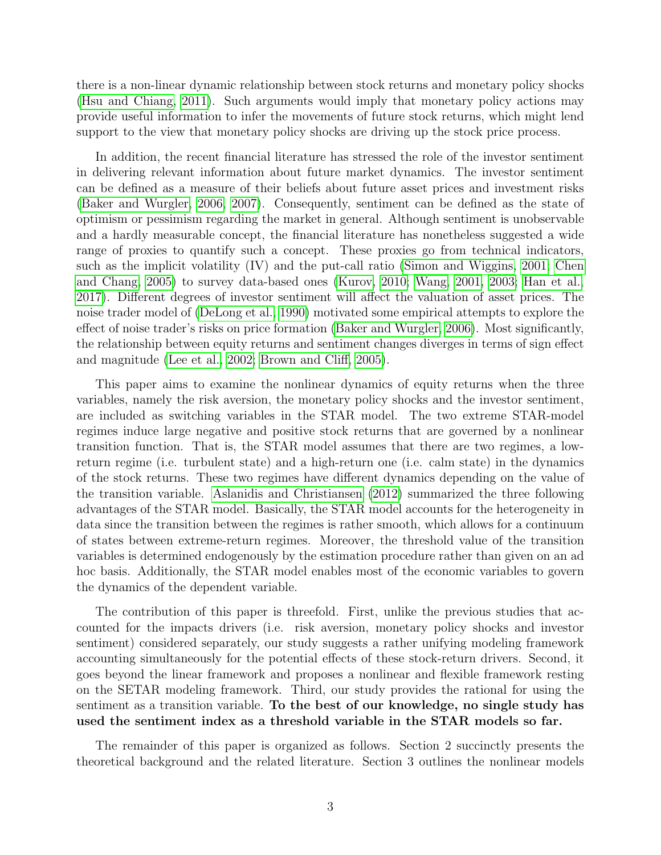there is a non-linear dynamic relationship between stock returns and monetary policy shocks [\(Hsu and Chiang, 2011\)](#page-23-6). Such arguments would imply that monetary policy actions may provide useful information to infer the movements of future stock returns, which might lend support to the view that monetary policy shocks are driving up the stock price process.

In addition, the recent financial literature has stressed the role of the investor sentiment in delivering relevant information about future market dynamics. The investor sentiment can be defined as a measure of their beliefs about future asset prices and investment risks [\(Baker and Wurgler, 2006,](#page-21-0) [2007\)](#page-21-1). Consequently, sentiment can be defined as the state of optimism or pessimism regarding the market in general. Although sentiment is unobservable and a hardly measurable concept, the financial literature has nonetheless suggested a wide range of proxies to quantify such a concept. These proxies go from technical indicators, such as the implicit volatility (IV) and the put-call ratio [\(Simon and Wiggins, 2001;](#page-24-5) [Chen](#page-22-2) [and Chang, 2005\)](#page-22-2) to survey data-based ones [\(Kurov, 2010;](#page-23-7) [Wang, 2001,](#page-25-0) [2003;](#page-25-1) [Han et al.,](#page-23-8) [2017\)](#page-23-8). Different degrees of investor sentiment will affect the valuation of asset prices. The noise trader model of [\(DeLong et al., 1990\)](#page-22-3) motivated some empirical attempts to explore the effect of noise trader's risks on price formation [\(Baker and Wurgler, 2006\)](#page-21-0). Most significantly, the relationship between equity returns and sentiment changes diverges in terms of sign effect and magnitude [\(Lee et al., 2002;](#page-23-9) [Brown and Cliff, 2005\)](#page-22-4).

This paper aims to examine the nonlinear dynamics of equity returns when the three variables, namely the risk aversion, the monetary policy shocks and the investor sentiment, are included as switching variables in the STAR model. The two extreme STAR-model regimes induce large negative and positive stock returns that are governed by a nonlinear transition function. That is, the STAR model assumes that there are two regimes, a lowreturn regime (i.e. turbulent state) and a high-return one (i.e. calm state) in the dynamics of the stock returns. These two regimes have different dynamics depending on the value of the transition variable. [Aslanidis and Christiansen](#page-21-2) [\(2012\)](#page-21-2) summarized the three following advantages of the STAR model. Basically, the STAR model accounts for the heterogeneity in data since the transition between the regimes is rather smooth, which allows for a continuum of states between extreme-return regimes. Moreover, the threshold value of the transition variables is determined endogenously by the estimation procedure rather than given on an ad hoc basis. Additionally, the STAR model enables most of the economic variables to govern the dynamics of the dependent variable.

The contribution of this paper is threefold. First, unlike the previous studies that accounted for the impacts drivers (i.e. risk aversion, monetary policy shocks and investor sentiment) considered separately, our study suggests a rather unifying modeling framework accounting simultaneously for the potential effects of these stock-return drivers. Second, it goes beyond the linear framework and proposes a nonlinear and flexible framework resting on the SETAR modeling framework. Third, our study provides the rational for using the sentiment as a transition variable. To the best of our knowledge, no single study has used the sentiment index as a threshold variable in the STAR models so far.

The remainder of this paper is organized as follows. Section 2 succinctly presents the theoretical background and the related literature. Section 3 outlines the nonlinear models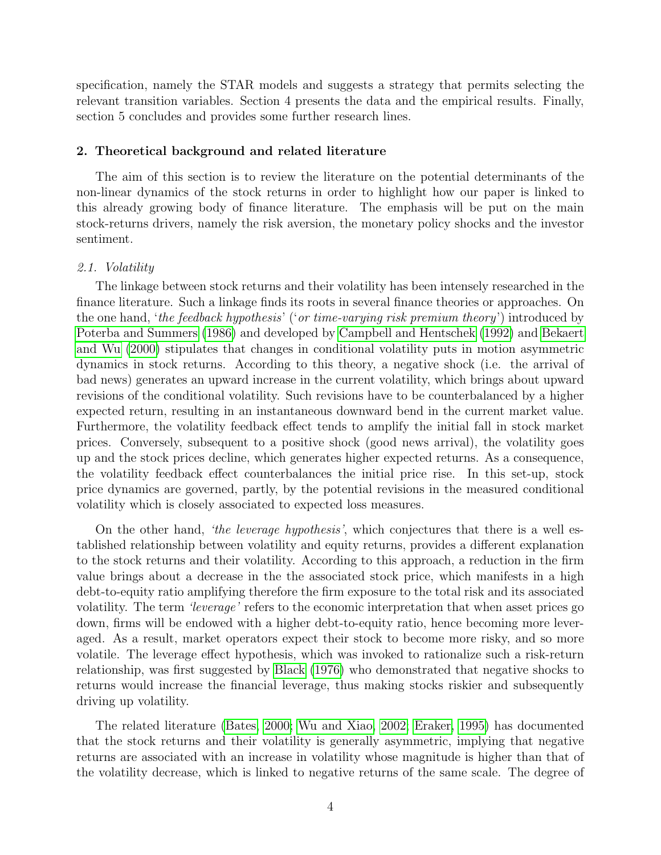specification, namely the STAR models and suggests a strategy that permits selecting the relevant transition variables. Section 4 presents the data and the empirical results. Finally, section 5 concludes and provides some further research lines.

## 2. Theoretical background and related literature

The aim of this section is to review the literature on the potential determinants of the non-linear dynamics of the stock returns in order to highlight how our paper is linked to this already growing body of finance literature. The emphasis will be put on the main stock-returns drivers, namely the risk aversion, the monetary policy shocks and the investor sentiment.

## 2.1. Volatility

The linkage between stock returns and their volatility has been intensely researched in the finance literature. Such a linkage finds its roots in several finance theories or approaches. On the one hand, 'the feedback hypothesis' ('or time-varying risk premium theory') introduced by [Poterba and Summers](#page-24-6) [\(1986\)](#page-24-6) and developed by [Campbell and Hentschek](#page-22-5) [\(1992\)](#page-22-5) and [Bekaert](#page-21-3) [and Wu](#page-21-3) [\(2000\)](#page-21-3) stipulates that changes in conditional volatility puts in motion asymmetric dynamics in stock returns. According to this theory, a negative shock (i.e. the arrival of bad news) generates an upward increase in the current volatility, which brings about upward revisions of the conditional volatility. Such revisions have to be counterbalanced by a higher expected return, resulting in an instantaneous downward bend in the current market value. Furthermore, the volatility feedback effect tends to amplify the initial fall in stock market prices. Conversely, subsequent to a positive shock (good news arrival), the volatility goes up and the stock prices decline, which generates higher expected returns. As a consequence, the volatility feedback effect counterbalances the initial price rise. In this set-up, stock price dynamics are governed, partly, by the potential revisions in the measured conditional volatility which is closely associated to expected loss measures.

On the other hand, 'the leverage hypothesis', which conjectures that there is a well established relationship between volatility and equity returns, provides a different explanation to the stock returns and their volatility. According to this approach, a reduction in the firm value brings about a decrease in the the associated stock price, which manifests in a high debt-to-equity ratio amplifying therefore the firm exposure to the total risk and its associated volatility. The term *'leverage'* refers to the economic interpretation that when asset prices go down, firms will be endowed with a higher debt-to-equity ratio, hence becoming more leveraged. As a result, market operators expect their stock to become more risky, and so more volatile. The leverage effect hypothesis, which was invoked to rationalize such a risk-return relationship, was first suggested by [Black](#page-21-4) [\(1976\)](#page-21-4) who demonstrated that negative shocks to returns would increase the financial leverage, thus making stocks riskier and subsequently driving up volatility.

The related literature [\(Bates, 2000;](#page-21-5) [Wu and Xiao, 2002;](#page-25-2) [Eraker, 1995\)](#page-23-10) has documented that the stock returns and their volatility is generally asymmetric, implying that negative returns are associated with an increase in volatility whose magnitude is higher than that of the volatility decrease, which is linked to negative returns of the same scale. The degree of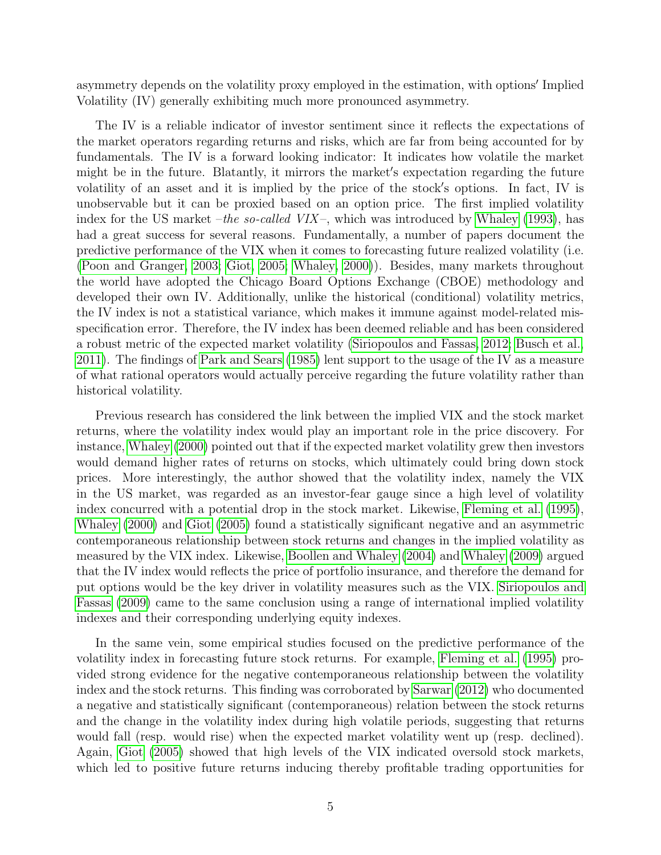asymmetry depends on the volatility proxy employed in the estimation, with options' Implied Volatility (IV) generally exhibiting much more pronounced asymmetry.

The IV is a reliable indicator of investor sentiment since it reflects the expectations of the market operators regarding returns and risks, which are far from being accounted for by fundamentals. The IV is a forward looking indicator: It indicates how volatile the market might be in the future. Blatantly, it mirrors the market's expectation regarding the future volatility of an asset and it is implied by the price of the stock's options. In fact, IV is unobservable but it can be proxied based on an option price. The first implied volatility index for the US market –the so-called VIX–, which was introduced by [Whaley](#page-25-3) [\(1993\)](#page-25-3), has had a great success for several reasons. Fundamentally, a number of papers document the predictive performance of the VIX when it comes to forecasting future realized volatility (i.e. [\(Poon and Granger, 2003;](#page-24-7) [Giot, 2005;](#page-23-5) [Whaley, 2000\)](#page-25-4)). Besides, many markets throughout the world have adopted the Chicago Board Options Exchange (CBOE) methodology and developed their own IV. Additionally, unlike the historical (conditional) volatility metrics, the IV index is not a statistical variance, which makes it immune against model-related misspecification error. Therefore, the IV index has been deemed reliable and has been considered a robust metric of the expected market volatility [\(Siriopoulos and Fassas, 2012;](#page-25-5) [Busch et al.,](#page-22-6) [2011\)](#page-22-6). The findings of [Park and Sears](#page-24-8) [\(1985\)](#page-24-8) lent support to the usage of the IV as a measure of what rational operators would actually perceive regarding the future volatility rather than historical volatility.

Previous research has considered the link between the implied VIX and the stock market returns, where the volatility index would play an important role in the price discovery. For instance, [Whaley](#page-25-4) [\(2000\)](#page-25-4) pointed out that if the expected market volatility grew then investors would demand higher rates of returns on stocks, which ultimately could bring down stock prices. More interestingly, the author showed that the volatility index, namely the VIX in the US market, was regarded as an investor-fear gauge since a high level of volatility index concurred with a potential drop in the stock market. Likewise, [Fleming et al.](#page-23-11) [\(1995\)](#page-23-11), [Whaley](#page-25-4) [\(2000\)](#page-25-4) and [Giot](#page-23-5) [\(2005\)](#page-23-5) found a statistically significant negative and an asymmetric contemporaneous relationship between stock returns and changes in the implied volatility as measured by the VIX index. Likewise, [Boollen and Whaley](#page-22-7) [\(2004\)](#page-22-7) and [Whaley](#page-25-6) [\(2009\)](#page-25-6) argued that the IV index would reflects the price of portfolio insurance, and therefore the demand for put options would be the key driver in volatility measures such as the VIX. [Siriopoulos and](#page-25-7) [Fassas](#page-25-7) [\(2009\)](#page-25-7) came to the same conclusion using a range of international implied volatility indexes and their corresponding underlying equity indexes.

In the same vein, some empirical studies focused on the predictive performance of the volatility index in forecasting future stock returns. For example, [Fleming et al.](#page-23-11) [\(1995\)](#page-23-11) provided strong evidence for the negative contemporaneous relationship between the volatility index and the stock returns. This finding was corroborated by [Sarwar](#page-24-9) [\(2012\)](#page-24-9) who documented a negative and statistically significant (contemporaneous) relation between the stock returns and the change in the volatility index during high volatile periods, suggesting that returns would fall (resp. would rise) when the expected market volatility went up (resp. declined). Again, [Giot](#page-23-5) [\(2005\)](#page-23-5) showed that high levels of the VIX indicated oversold stock markets, which led to positive future returns inducing thereby profitable trading opportunities for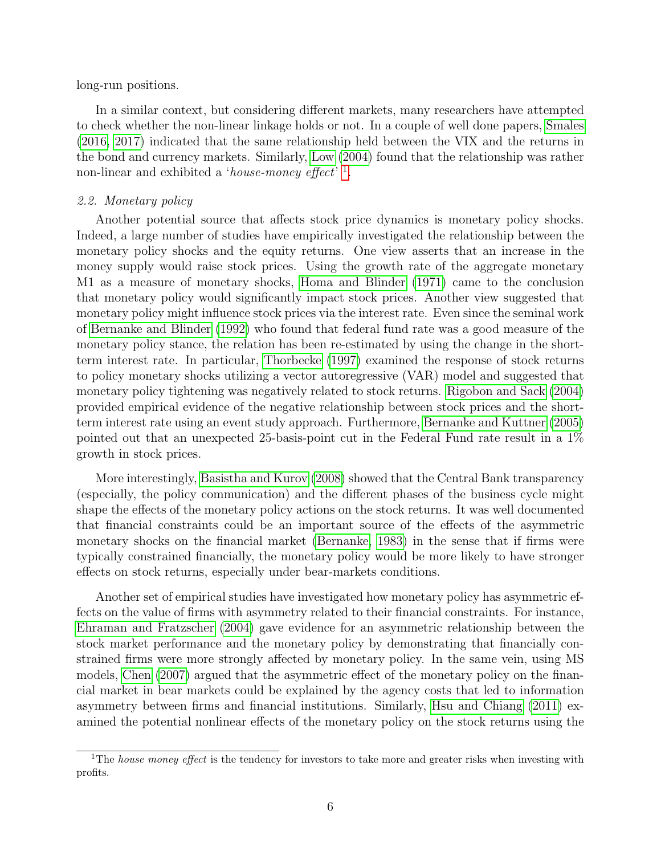long-run positions.

In a similar context, but considering different markets, many researchers have attempted to check whether the non-linear linkage holds or not. In a couple of well done papers, [Smales](#page-25-8) [\(2016,](#page-25-8) [2017\)](#page-25-9) indicated that the same relationship held between the VIX and the returns in the bond and currency markets. Similarly, [Low](#page-24-10) [\(2004\)](#page-24-10) found that the relationship was rather non-linear and exhibited a 'house-money effect'<sup>[1](#page-5-0)</sup>.

## 2.2. Monetary policy

Another potential source that affects stock price dynamics is monetary policy shocks. Indeed, a large number of studies have empirically investigated the relationship between the monetary policy shocks and the equity returns. One view asserts that an increase in the money supply would raise stock prices. Using the growth rate of the aggregate monetary M1 as a measure of monetary shocks, [Homa and Blinder](#page-23-12) [\(1971\)](#page-23-12) came to the conclusion that monetary policy would significantly impact stock prices. Another view suggested that monetary policy might influence stock prices via the interest rate. Even since the seminal work of [Bernanke and Blinder](#page-21-6) [\(1992\)](#page-21-6) who found that federal fund rate was a good measure of the monetary policy stance, the relation has been re-estimated by using the change in the shortterm interest rate. In particular, [Thorbecke](#page-25-10) [\(1997\)](#page-25-10) examined the response of stock returns to policy monetary shocks utilizing a vector autoregressive (VAR) model and suggested that monetary policy tightening was negatively related to stock returns. [Rigobon and Sack](#page-24-11) [\(2004\)](#page-24-11) provided empirical evidence of the negative relationship between stock prices and the shortterm interest rate using an event study approach. Furthermore, [Bernanke and Kuttner](#page-21-7) [\(2005\)](#page-21-7) pointed out that an unexpected 25-basis-point cut in the Federal Fund rate result in a 1% growth in stock prices.

More interestingly, [Basistha and Kurov](#page-21-8) [\(2008\)](#page-21-8) showed that the Central Bank transparency (especially, the policy communication) and the different phases of the business cycle might shape the effects of the monetary policy actions on the stock returns. It was well documented that financial constraints could be an important source of the effects of the asymmetric monetary shocks on the financial market [\(Bernanke, 1983\)](#page-21-9) in the sense that if firms were typically constrained financially, the monetary policy would be more likely to have stronger effects on stock returns, especially under bear-markets conditions.

Another set of empirical studies have investigated how monetary policy has asymmetric effects on the value of firms with asymmetry related to their financial constraints. For instance, [Ehraman and Fratzscher](#page-22-8) [\(2004\)](#page-22-8) gave evidence for an asymmetric relationship between the stock market performance and the monetary policy by demonstrating that financially constrained firms were more strongly affected by monetary policy. In the same vein, using MS models, [Chen](#page-22-9) [\(2007\)](#page-22-9) argued that the asymmetric effect of the monetary policy on the financial market in bear markets could be explained by the agency costs that led to information asymmetry between firms and financial institutions. Similarly, [Hsu and Chiang](#page-23-6) [\(2011\)](#page-23-6) examined the potential nonlinear effects of the monetary policy on the stock returns using the

<span id="page-5-0"></span><sup>&</sup>lt;sup>1</sup>The *house money effect* is the tendency for investors to take more and greater risks when investing with profits.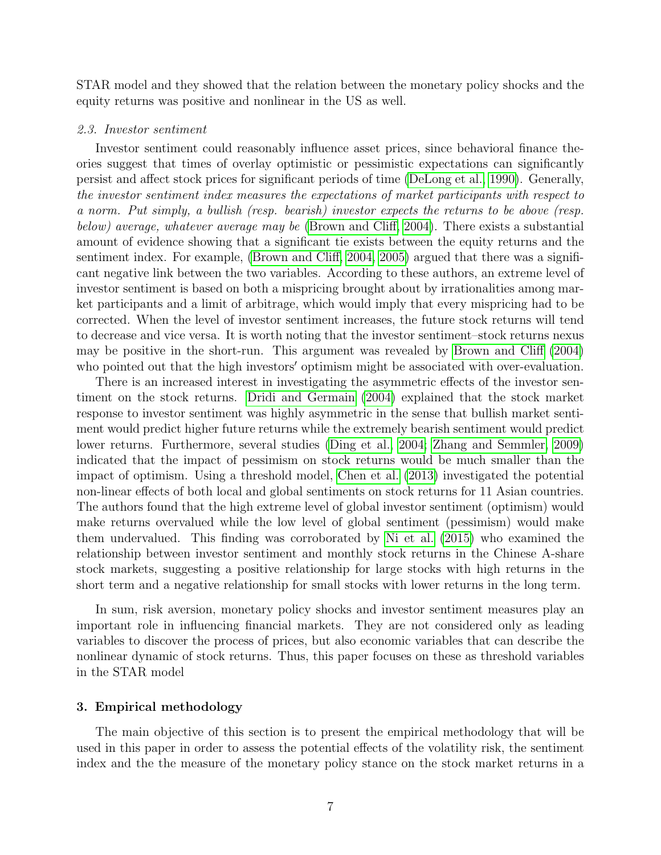STAR model and they showed that the relation between the monetary policy shocks and the equity returns was positive and nonlinear in the US as well.

#### 2.3. Investor sentiment

Investor sentiment could reasonably influence asset prices, since behavioral finance theories suggest that times of overlay optimistic or pessimistic expectations can significantly persist and affect stock prices for significant periods of time [\(DeLong et al., 1990\)](#page-22-3). Generally, the investor sentiment index measures the expectations of market participants with respect to a norm. Put simply, a bullish (resp. bearish) investor expects the returns to be above (resp. below) average, whatever average may be [\(Brown and Cliff, 2004\)](#page-22-10). There exists a substantial amount of evidence showing that a significant tie exists between the equity returns and the sentiment index. For example, [\(Brown and Cliff, 2004,](#page-22-10) [2005\)](#page-22-4) argued that there was a significant negative link between the two variables. According to these authors, an extreme level of investor sentiment is based on both a mispricing brought about by irrationalities among market participants and a limit of arbitrage, which would imply that every mispricing had to be corrected. When the level of investor sentiment increases, the future stock returns will tend to decrease and vice versa. It is worth noting that the investor sentiment–stock returns nexus may be positive in the short-run. This argument was revealed by [Brown and Cliff](#page-22-10) [\(2004\)](#page-22-10) who pointed out that the high investors' optimism might be associated with over-evaluation.

There is an increased interest in investigating the asymmetric effects of the investor sentiment on the stock returns. [Dridi and Germain](#page-22-11) [\(2004\)](#page-22-11) explained that the stock market response to investor sentiment was highly asymmetric in the sense that bullish market sentiment would predict higher future returns while the extremely bearish sentiment would predict lower returns. Furthermore, several studies [\(Ding et al., 2004;](#page-22-12) [Zhang and Semmler, 2009\)](#page-25-11) indicated that the impact of pessimism on stock returns would be much smaller than the impact of optimism. Using a threshold model, [Chen et al.](#page-22-13) [\(2013\)](#page-22-13) investigated the potential non-linear effects of both local and global sentiments on stock returns for 11 Asian countries. The authors found that the high extreme level of global investor sentiment (optimism) would make returns overvalued while the low level of global sentiment (pessimism) would make them undervalued. This finding was corroborated by [Ni et al.](#page-24-12) [\(2015\)](#page-24-12) who examined the relationship between investor sentiment and monthly stock returns in the Chinese A-share stock markets, suggesting a positive relationship for large stocks with high returns in the short term and a negative relationship for small stocks with lower returns in the long term.

In sum, risk aversion, monetary policy shocks and investor sentiment measures play an important role in influencing financial markets. They are not considered only as leading variables to discover the process of prices, but also economic variables that can describe the nonlinear dynamic of stock returns. Thus, this paper focuses on these as threshold variables in the STAR model

### 3. Empirical methodology

The main objective of this section is to present the empirical methodology that will be used in this paper in order to assess the potential effects of the volatility risk, the sentiment index and the the measure of the monetary policy stance on the stock market returns in a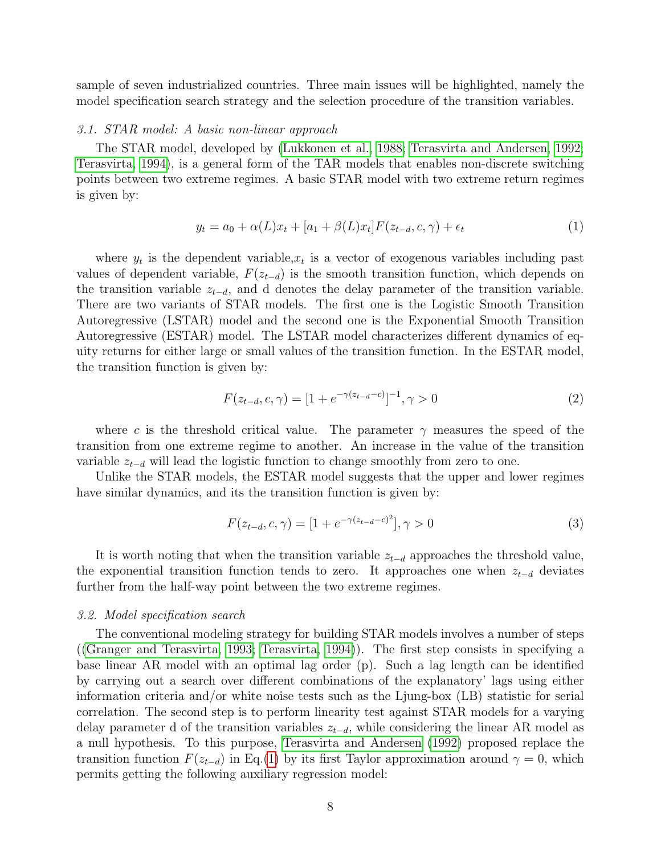sample of seven industrialized countries. Three main issues will be highlighted, namely the model specification search strategy and the selection procedure of the transition variables.

#### 3.1. STAR model: A basic non-linear approach

The STAR model, developed by [\(Lukkonen et al., 1988;](#page-24-13) [Terasvirta and Andersen, 1992;](#page-25-12) [Terasvirta, 1994\)](#page-25-13), is a general form of the TAR models that enables non-discrete switching points between two extreme regimes. A basic STAR model with two extreme return regimes is given by:

<span id="page-7-0"></span>
$$
y_t = a_0 + \alpha(L)x_t + [a_1 + \beta(L)x_t]F(z_{t-d}, c, \gamma) + \epsilon_t
$$
\n(1)

where  $y_t$  is the dependent variable,  $x_t$  is a vector of exogenous variables including past values of dependent variable,  $F(z_{t-d})$  is the smooth transition function, which depends on the transition variable  $z_{t-d}$ , and d denotes the delay parameter of the transition variable. There are two variants of STAR models. The first one is the Logistic Smooth Transition Autoregressive (LSTAR) model and the second one is the Exponential Smooth Transition Autoregressive (ESTAR) model. The LSTAR model characterizes different dynamics of equity returns for either large or small values of the transition function. In the ESTAR model, the transition function is given by:

$$
F(z_{t-d}, c, \gamma) = [1 + e^{-\gamma(z_{t-d} - c)}]^{-1}, \gamma > 0
$$
\n(2)

where c is the threshold critical value. The parameter  $\gamma$  measures the speed of the transition from one extreme regime to another. An increase in the value of the transition variable  $z_{t-d}$  will lead the logistic function to change smoothly from zero to one.

Unlike the STAR models, the ESTAR model suggests that the upper and lower regimes have similar dynamics, and its the transition function is given by:

$$
F(z_{t-d}, c, \gamma) = [1 + e^{-\gamma(z_{t-d} - c)^2}], \gamma > 0
$$
\n(3)

It is worth noting that when the transition variable  $z_{t-d}$  approaches the threshold value, the exponential transition function tends to zero. It approaches one when  $z_{t-d}$  deviates further from the half-way point between the two extreme regimes.

#### 3.2. Model specification search

The conventional modeling strategy for building STAR models involves a number of steps ([\(Granger and Terasvirta, 1993;](#page-23-13) [Terasvirta, 1994\)](#page-25-13)). The first step consists in specifying a base linear AR model with an optimal lag order (p). Such a lag length can be identified by carrying out a search over different combinations of the explanatory' lags using either information criteria and/or white noise tests such as the Ljung-box (LB) statistic for serial correlation. The second step is to perform linearity test against STAR models for a varying delay parameter d of the transition variables  $z_{t-d}$ , while considering the linear AR model as a null hypothesis. To this purpose, [Terasvirta and Andersen](#page-25-12) [\(1992\)](#page-25-12) proposed replace the transition function  $F(z_{t-d})$  in Eq.[\(1\)](#page-7-0) by its first Taylor approximation around  $\gamma = 0$ , which permits getting the following auxiliary regression model: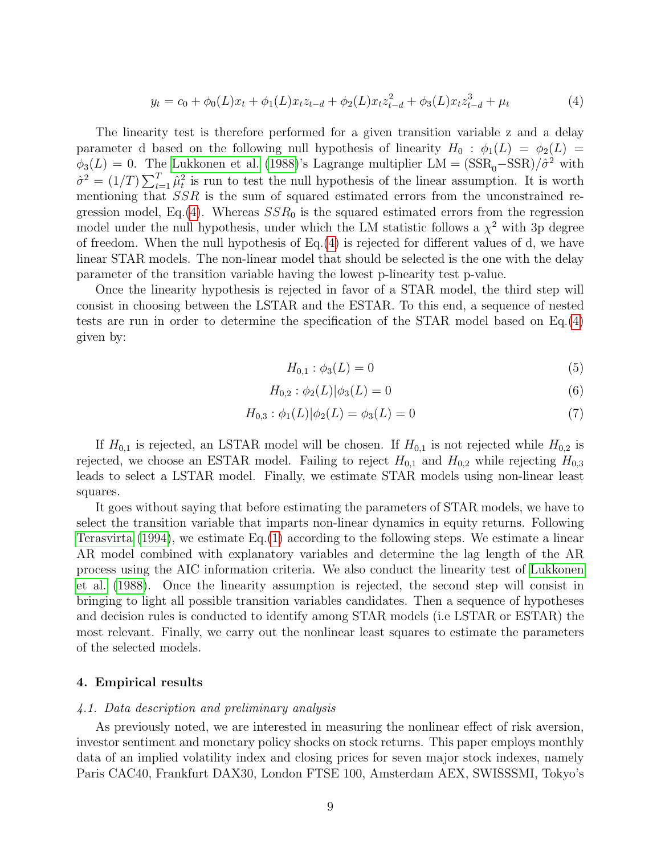<span id="page-8-0"></span>
$$
y_t = c_0 + \phi_0(L)x_t + \phi_1(L)x_t z_{t-d} + \phi_2(L)x_t z_{t-d}^2 + \phi_3(L)x_t z_{t-d}^3 + \mu_t
$$
\n
$$
\tag{4}
$$

The linearity test is therefore performed for a given transition variable z and a delay parameter d based on the following null hypothesis of linearity  $H_0$ :  $\phi_1(L) = \phi_2(L)$  $\phi_3(L) = 0$ . The [Lukkonen et al.](#page-24-13) [\(1988\)](#page-24-13)'s Lagrange multiplier LM =  $(SSR_0 - SSR)/\hat{\sigma}^2$  with  $\hat{\sigma}^2 = (1/T) \sum_{t=1}^T \hat{\mu}_t^2$  is run to test the null hypothesis of the linear assumption. It is worth mentioning that SSR is the sum of squared estimated errors from the unconstrained re-gression model, Eq.[\(4\)](#page-8-0). Whereas  $SSR_0$  is the squared estimated errors from the regression model under the null hypothesis, under which the LM statistic follows a  $\chi^2$  with 3p degree of freedom. When the null hypothesis of Eq.[\(4\)](#page-8-0) is rejected for different values of d, we have linear STAR models. The non-linear model that should be selected is the one with the delay parameter of the transition variable having the lowest p-linearity test p-value.

Once the linearity hypothesis is rejected in favor of a STAR model, the third step will consist in choosing between the LSTAR and the ESTAR. To this end, a sequence of nested tests are run in order to determine the specification of the STAR model based on Eq.[\(4\)](#page-8-0) given by:

$$
H_{0,1} : \phi_3(L) = 0 \tag{5}
$$

$$
H_{0,2}: \phi_2(L)|\phi_3(L) = 0 \tag{6}
$$

$$
H_{0,3}: \phi_1(L)|\phi_2(L) = \phi_3(L) = 0 \tag{7}
$$

If  $H_{0,1}$  is rejected, an LSTAR model will be chosen. If  $H_{0,1}$  is not rejected while  $H_{0,2}$  is rejected, we choose an ESTAR model. Failing to reject  $H_{0,1}$  and  $H_{0,2}$  while rejecting  $H_{0,3}$ leads to select a LSTAR model. Finally, we estimate STAR models using non-linear least squares.

It goes without saying that before estimating the parameters of STAR models, we have to select the transition variable that imparts non-linear dynamics in equity returns. Following [Terasvirta](#page-25-13) [\(1994\)](#page-25-13), we estimate Eq.[\(1\)](#page-7-0) according to the following steps. We estimate a linear AR model combined with explanatory variables and determine the lag length of the AR process using the AIC information criteria. We also conduct the linearity test of [Lukkonen](#page-24-13) [et al.](#page-24-13) [\(1988\)](#page-24-13). Once the linearity assumption is rejected, the second step will consist in bringing to light all possible transition variables candidates. Then a sequence of hypotheses and decision rules is conducted to identify among STAR models (i.e LSTAR or ESTAR) the most relevant. Finally, we carry out the nonlinear least squares to estimate the parameters of the selected models.

#### 4. Empirical results

#### 4.1. Data description and preliminary analysis

As previously noted, we are interested in measuring the nonlinear effect of risk aversion, investor sentiment and monetary policy shocks on stock returns. This paper employs monthly data of an implied volatility index and closing prices for seven major stock indexes, namely Paris CAC40, Frankfurt DAX30, London FTSE 100, Amsterdam AEX, SWISSSMI, Tokyo's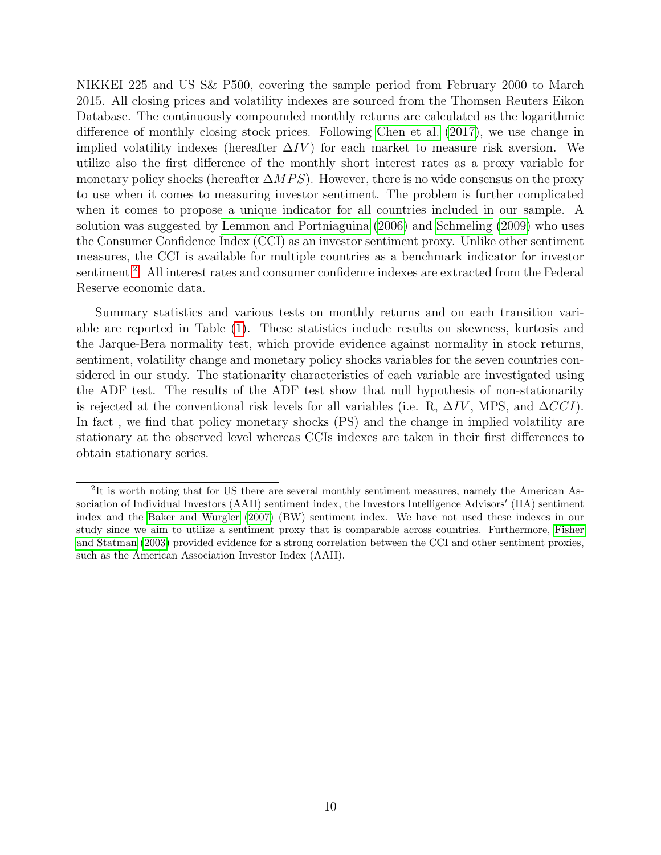NIKKEI 225 and US S& P500, covering the sample period from February 2000 to March 2015. All closing prices and volatility indexes are sourced from the Thomsen Reuters Eikon Database. The continuously compounded monthly returns are calculated as the logarithmic difference of monthly closing stock prices. Following [Chen et al.](#page-22-14) [\(2017\)](#page-22-14), we use change in implied volatility indexes (hereafter  $\Delta IV$ ) for each market to measure risk aversion. We utilize also the first difference of the monthly short interest rates as a proxy variable for monetary policy shocks (hereafter  $\Delta MPS$ ). However, there is no wide consensus on the proxy to use when it comes to measuring investor sentiment. The problem is further complicated when it comes to propose a unique indicator for all countries included in our sample. A solution was suggested by [Lemmon and Portniaguina](#page-23-14) [\(2006\)](#page-23-14) and [Schmeling](#page-24-14) [\(2009\)](#page-24-14) who uses the Consumer Confidence Index (CCI) as an investor sentiment proxy. Unlike other sentiment measures, the CCI is available for multiple countries as a benchmark indicator for investor sentiment<sup>[2](#page-9-0)</sup>. All interest rates and consumer confidence indexes are extracted from the Federal Reserve economic data.

Summary statistics and various tests on monthly returns and on each transition variable are reported in Table [\(1\)](#page-10-0). These statistics include results on skewness, kurtosis and the Jarque-Bera normality test, which provide evidence against normality in stock returns, sentiment, volatility change and monetary policy shocks variables for the seven countries considered in our study. The stationarity characteristics of each variable are investigated using the ADF test. The results of the ADF test show that null hypothesis of non-stationarity is rejected at the conventional risk levels for all variables (i.e. R,  $\Delta IV$ , MPS, and  $\Delta CCI$ ). In fact , we find that policy monetary shocks (PS) and the change in implied volatility are stationary at the observed level whereas CCIs indexes are taken in their first differences to obtain stationary series.

<span id="page-9-0"></span><sup>&</sup>lt;sup>2</sup>It is worth noting that for US there are several monthly sentiment measures, namely the American Association of Individual Investors (AAII) sentiment index, the Investors Intelligence Advisors' (IIA) sentiment index and the [Baker and Wurgler](#page-21-1) [\(2007\)](#page-21-1) (BW) sentiment index. We have not used these indexes in our study since we aim to utilize a sentiment proxy that is comparable across countries. Furthermore, [Fisher](#page-23-15) [and Statman](#page-23-15) [\(2003\)](#page-23-15) provided evidence for a strong correlation between the CCI and other sentiment proxies, such as the American Association Investor Index (AAII).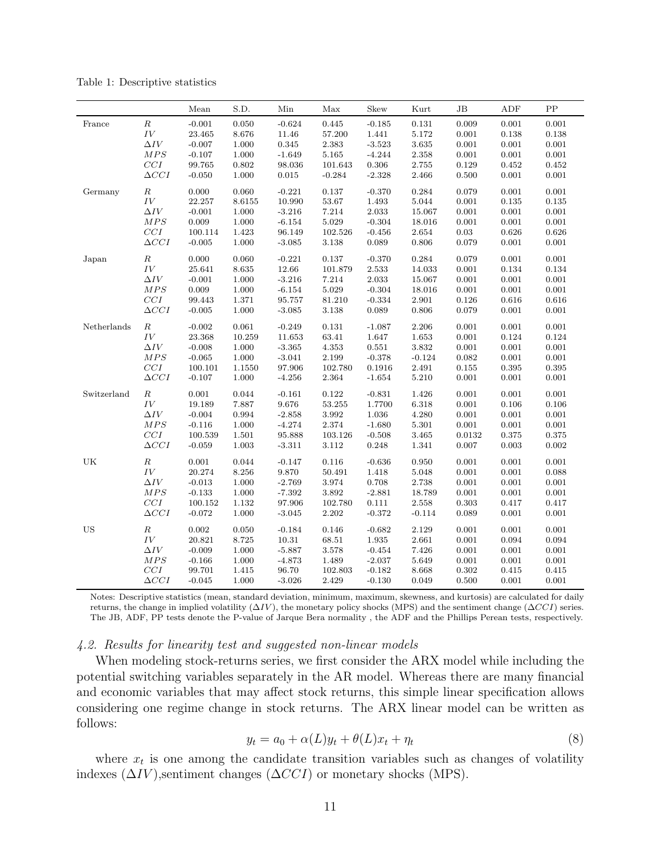|             |              | ${\it Mean}$ | S.D.      | Min       | Max         | Skew        | Kurt               | JB          | ADF         | ${\rm PP}$  |
|-------------|--------------|--------------|-----------|-----------|-------------|-------------|--------------------|-------------|-------------|-------------|
| France      | $\cal R$     | $-0.001$     | 0.050     | $-0.624$  | $\,0.445\,$ | $-0.185$    | $\rm 0.131$        | 0.009       | 0.001       | 0.001       |
|             | $\cal{IV}$   | 23.465       | 8.676     | 11.46     | 57.200      | 1.441       | 5.172              | 0.001       | 0.138       | 0.138       |
|             | $\Delta IV$  | $-0.007$     | 1.000     | 0.345     | $2.383\,$   | $-3.523$    | $3.635\,$          | 0.001       | 0.001       | 0.001       |
|             | $MPS$        | $-0.107$     | 1.000     | $-1.649$  | 5.165       | $-4.244$    | $\phantom{-}2.358$ | 0.001       | $\rm 0.001$ | $0.001\,$   |
|             | $CCI$        | 99.765       | 0.802     | 98.036    | 101.643     | 0.306       | $2.755\,$          | 0.129       | 0.452       | 0.452       |
|             | $\Delta CCI$ | $-0.050$     | 1.000     | 0.015     | $-0.284$    | $-2.328$    | 2.466              | 0.500       | $0.001\,$   | 0.001       |
| Germany     | $\cal R$     | 0.000        | 0.060     | $-0.221$  | 0.137       | $-0.370$    | 0.284              | 0.079       | 0.001       | 0.001       |
|             | ${\cal IV}$  | 22.257       | 8.6155    | 10.990    | 53.67       | $1.493\,$   | 5.044              | 0.001       | 0.135       | 0.135       |
|             | $\Delta IV$  | $-0.001$     | 1.000     | $-3.216$  | 7.214       | 2.033       | 15.067             | 0.001       | 0.001       | 0.001       |
|             | $MPS$        | 0.009        | 1.000     | $-6.154$  | $5.029\,$   | $-0.304$    | 18.016             | 0.001       | 0.001       | 0.001       |
|             | $CCI$        | 100.114      | 1.423     | 96.149    | 102.526     | $-0.456$    | 2.654              | 0.03        | 0.626       | 0.626       |
|             | $\Delta CCI$ | $-0.005$     | 1.000     | $-3.085$  | 3.138       | 0.089       | 0.806              | 0.079       | $0.001\,$   | 0.001       |
| Japan       | $\cal R$     | $0.000\,$    | 0.060     | $-0.221$  | 0.137       | $-0.370$    | $\,0.284\,$        | 0.079       | 0.001       | $\rm 0.001$ |
|             | IV           | 25.641       | 8.635     | 12.66     | 101.879     | 2.533       | 14.033             | $0.001\,$   | 0.134       | 0.134       |
|             | $\Delta IV$  | $-0.001$     | 1.000     | $-3.216$  | 7.214       | 2.033       | 15.067             | $0.001\,$   | $0.001\,$   | 0.001       |
|             | $MPS$        | $\rm 0.009$  | 1.000     | $-6.154$  | $5.029\,$   | $-0.304$    | 18.016             | 0.001       | 0.001       | 0.001       |
|             | $CCI$        | 99.443       | 1.371     | 95.757    | 81.210      | $-0.334$    | $2.901\,$          | 0.126       | 0.616       | 0.616       |
|             | $\Delta CCI$ | $-0.005$     | 1.000     | $-3.085$  | 3.138       | 0.089       | 0.806              | 0.079       | 0.001       | 0.001       |
| Netherlands | $\cal R$     | $-0.002$     | 0.061     | $-0.249$  | 0.131       | $-1.087$    | 2.206              | 0.001       | 0.001       | 0.001       |
|             | $\cal{IV}$   | 23.368       | 10.259    | 11.653    | 63.41       | 1.647       | $1.653\,$          | $0.001\,$   | $\,0.124\,$ | 0.124       |
|             | $\Delta IV$  | $-0.008$     | $1.000\,$ | $-3.365$  | 4.353       | $\rm 0.551$ | $3.832\,$          | 0.001       | 0.001       | 0.001       |
|             | MPS          | $-0.065$     | $1.000\,$ | $-3.041$  | 2.199       | $-0.378$    | $-0.124$           | 0.082       | 0.001       | $0.001\,$   |
|             | $CCI$        | 100.101      | 1.1550    | 97.906    | 102.780     | 0.1916      | $2.491\,$          | $\rm 0.155$ | 0.395       | 0.395       |
|             | $\Delta CCI$ | $-0.107$     | 1.000     | $-4.256$  | 2.364       | $-1.654$    | $5.210\,$          | 0.001       | 0.001       | 0.001       |
| Switzerland | $\cal R$     | $0.001\,$    | 0.044     | $-0.161$  | $\rm 0.122$ | $-0.831$    | 1.426              | 0.001       | 0.001       | 0.001       |
|             | $\cal{IV}$   | 19.189       | 7.887     | $9.676\,$ | 53.255      | 1.7700      | $6.318\,$          | 0.001       | 0.106       | 0.106       |
|             | $\Delta IV$  | $-0.004$     | 0.994     | $-2.858$  | $3.992\,$   | 1.036       | 4.280              | 0.001       | 0.001       | 0.001       |
|             | $MPS$        | $-0.116$     | 1.000     | $-4.274$  | 2.374       | $-1.680$    | $5.301\,$          | $0.001\,$   | $0.001\,$   | 0.001       |
|             | $CCI$        | 100.539      | 1.501     | 95.888    | 103.126     | $-0.508$    | $3.465\,$          | 0.0132      | $\rm 0.375$ | $0.375\,$   |
|             | $\Delta CCI$ | $-0.059$     | 1.003     | $-3.311$  | $3.112\,$   | 0.248       | 1.341              | 0.007       | 0.003       | 0.002       |
| UK          | $\cal R$     | $0.001\,$    | 0.044     | $-0.147$  | 0.116       | $-0.636$    | 0.950              | 0.001       | $\rm 0.001$ | $0.001\,$   |
|             | ${\cal IV}$  | 20.274       | 8.256     | 9.870     | 50.491      | 1.418       | $5.048\,$          | 0.001       | $\rm 0.001$ | 0.088       |
|             | $\Delta IV$  | $-0.013$     | 1.000     | $-2.769$  | 3.974       | 0.708       | $2.738\,$          | 0.001       | 0.001       | $\rm 0.001$ |
|             | MPS          | $-0.133$     | 1.000     | $-7.392$  | 3.892       | $-2.881$    | 18.789             | 0.001       | 0.001       | 0.001       |
|             | $CCI$        | 100.152      | 1.132     | 97.906    | 102.780     | 0.111       | 2.558              | 0.303       | 0.417       | 0.417       |
|             | $\Delta CCI$ | $-0.072$     | 1.000     | $-3.045$  | 2.202       | $-0.372$    | $-0.114$           | 0.089       | 0.001       | 0.001       |
| <b>US</b>   | $\cal R$     | 0.002        | 0.050     | $-0.184$  | 0.146       | $-0.682$    | $2.129\,$          | 0.001       | 0.001       | 0.001       |
|             | ${\cal IV}$  | 20.821       | 8.725     | 10.31     | 68.51       | 1.935       | 2.661              | 0.001       | $\,0.094\,$ | 0.094       |
|             | $\Delta IV$  | $-0.009$     | 1.000     | $-5.887$  | $3.578\,$   | $-0.454$    | 7.426              | 0.001       | $0.001\,$   | 0.001       |
|             | MPS          | $-0.166$     | 1.000     | $-4.873$  | 1.489       | $-2.037$    | 5.649              | 0.001       | $0.001\,$   | 0.001       |
|             | $CCI$        | 99.701       | 1.415     | 96.70     | 102.803     | $-0.182$    | 8.668              | 0.302       | 0.415       | 0.415       |
|             | $\Delta CCI$ | $-0.045$     | 1.000     | $-3.026$  | 2.429       | $-0.130$    | 0.049              | 0.500       | 0.001       | 0.001       |

<span id="page-10-0"></span>Table 1: Descriptive statistics

Notes: Descriptive statistics (mean, standard deviation, minimum, maximum, skewness, and kurtosis) are calculated for daily returns, the change in implied volatility  $(\Delta IV)$ , the monetary policy shocks (MPS) and the sentiment change ( $\Delta CCI$ ) series. The JB, ADF, PP tests denote the P-value of Jarque Bera normality , the ADF and the Phillips Perean tests, respectively.

### 4.2. Results for linearity test and suggested non-linear models

When modeling stock-returns series, we first consider the ARX model while including the potential switching variables separately in the AR model. Whereas there are many financial and economic variables that may affect stock returns, this simple linear specification allows considering one regime change in stock returns. The ARX linear model can be written as follows:

$$
y_t = a_0 + \alpha(L)y_t + \theta(L)x_t + \eta_t \tag{8}
$$

where  $x_t$  is one among the candidate transition variables such as changes of volatility indexes  $(\Delta IV)$ , sentiment changes  $(\Delta CCI)$  or monetary shocks (MPS).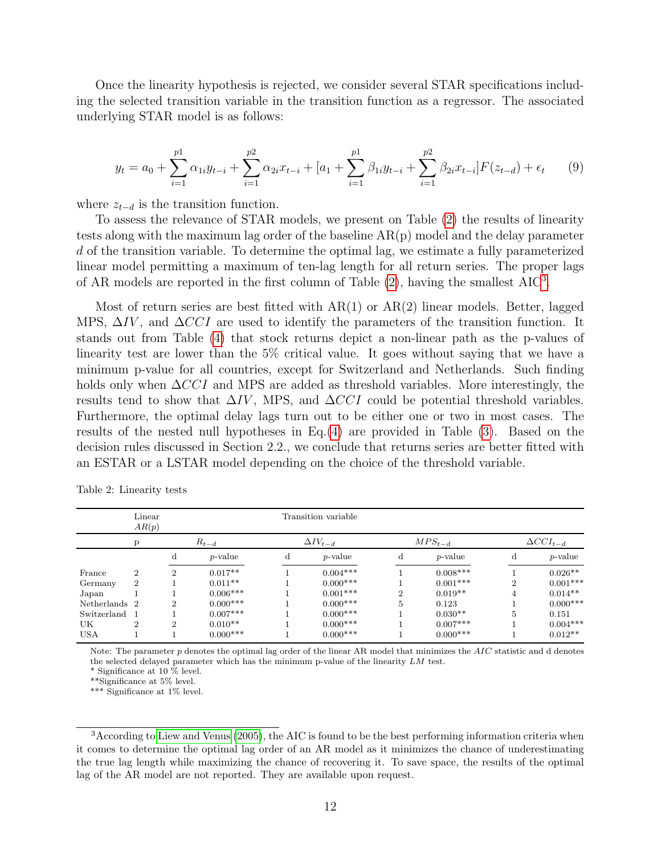Once the linearity hypothesis is rejected, we consider several STAR specifications including the selected transition variable in the transition function as a regressor. The associated underlying STAR model is as follows:

$$
y_t = a_0 + \sum_{i=1}^{p_1} \alpha_{1i} y_{t-i} + \sum_{i=1}^{p_2} \alpha_{2i} x_{t-i} + [a_1 + \sum_{i=1}^{p_1} \beta_{1i} y_{t-i} + \sum_{i=1}^{p_2} \beta_{2i} x_{t-i}] F(z_{t-d}) + \epsilon_t \tag{9}
$$

where  $z_{t-d}$  is the transition function.

To assess the relevance of STAR models, we present on Table [\(2\)](#page-11-0) the results of linearity tests along with the maximum lag order of the baseline AR(p) model and the delay parameter d of the transition variable. To determine the optimal lag, we estimate a fully parameterized linear model permitting a maximum of ten-lag length for all return series. The proper lags of AR models are reported in the first column of Table  $(2)$ , having the smallest  $AIC<sup>3</sup>$  $AIC<sup>3</sup>$  $AIC<sup>3</sup>$ .

Most of return series are best fitted with  $AR(1)$  or  $AR(2)$  linear models. Better, lagged MPS,  $\Delta IV$ , and  $\Delta CCI$  are used to identify the parameters of the transition function. It stands out from Table [\(4\)](#page-14-0) that stock returns depict a non-linear path as the p-values of linearity test are lower than the 5% critical value. It goes without saying that we have a minimum p-value for all countries, except for Switzerland and Netherlands. Such finding holds only when  $\Delta CCI$  and MPS are added as threshold variables. More interestingly, the results tend to show that  $\Delta IV$ , MPS, and  $\Delta CCI$  could be potential threshold variables. Furthermore, the optimal delay lags turn out to be either one or two in most cases. The results of the nested null hypotheses in Eq.[\(4\)](#page-8-0) are provided in Table [\(3\)](#page-12-0). Based on the decision rules discussed in Section 2.2., we conclude that returns series are better fitted with an ESTAR or a LSTAR model depending on the choice of the threshold variable.

|               | Linear<br>AR(p) |                |                 |                   | Transition variable |                |                 |                    |            |
|---------------|-----------------|----------------|-----------------|-------------------|---------------------|----------------|-----------------|--------------------|------------|
|               |                 | $R_{t-d}$      |                 | $\Delta IV_{t-d}$ |                     | $MPS_{t-d}$    |                 | $\Delta CCI_{t-d}$ |            |
|               |                 | d              | <i>p</i> -value | d                 | $p$ -value          | d              | <i>p</i> -value | d                  | $p$ -value |
| France        | $\overline{2}$  | $\overline{2}$ | $0.017**$       |                   | $0.004***$          |                | $0.008***$      |                    | $0.026**$  |
| Germany       | $\overline{2}$  |                | $0.011**$       |                   | $0.000***$          |                | $0.001***$      | $\overline{2}$     | $0.001***$ |
| Japan         |                 |                | $0.006***$      |                   | $0.001***$          | $\overline{2}$ | $0.019**$       | 4                  | $0.014**$  |
| Netherlands 2 |                 | $\overline{2}$ | $0.000***$      |                   | $0.000***$          | 5              | 0.123           |                    | $0.000***$ |
| Switzerland   |                 |                | $0.007***$      |                   | $0.000***$          |                | $0.030**$       | 5                  | 0.151      |
| UK            | 2               | $\overline{2}$ | $0.010**$       |                   | $0.000***$          |                | $0.007***$      |                    | $0.004***$ |
| <b>USA</b>    |                 |                | $0.000***$      |                   | $0.000***$          |                | $0.000***$      |                    | $0.012**$  |
|               |                 |                |                 |                   |                     |                |                 |                    |            |

<span id="page-11-0"></span>Table 2: Linearity tests

Note: The parameter  $p$  denotes the optimal lag order of the linear AR model that minimizes the  $AIC$  statistic and d denotes the selected delayed parameter which has the minimum p-value of the linearity LM test.

\* Significance at 10 % level.

\*\*Significance at 5% level.

\*\*\* Significance at 1% level.

<span id="page-11-1"></span><sup>&</sup>lt;sup>3</sup> According to [Liew and Venus](#page-24-15) [\(2005\)](#page-24-15), the AIC is found to be the best performing information criteria when it comes to determine the optimal lag order of an AR model as it minimizes the chance of underestimating the true lag length while maximizing the chance of recovering it. To save space, the results of the optimal lag of the AR model are not reported. They are available upon request.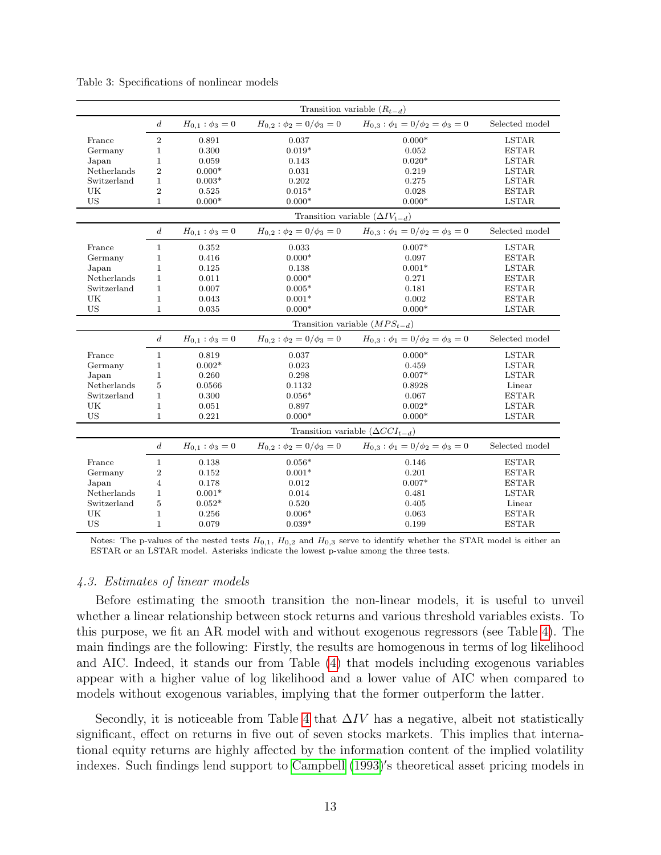|             | Transition variable $(R_{t-d})$ |                                   |                                  |                                                                                  |                |  |  |  |  |
|-------------|---------------------------------|-----------------------------------|----------------------------------|----------------------------------------------------------------------------------|----------------|--|--|--|--|
|             | $\boldsymbol{d}$                | $H_{0,1}$ : $\phi_3 = 0$          | $H_{0,2}: \phi_2 = 0/\phi_3 = 0$ | $H_{0,3}: \phi_1 = 0/\phi_2 = \phi_3 = 0$                                        | Selected model |  |  |  |  |
| France      | $\sqrt{2}$                      | 0.891                             | 0.037                            | $0.000*$                                                                         | <b>LSTAR</b>   |  |  |  |  |
| Germany     | $\mathbf 1$                     | 0.300                             | $0.019*$                         | 0.052                                                                            | <b>ESTAR</b>   |  |  |  |  |
| Japan       | 1                               | 0.059                             | 0.143                            | $0.020*$                                                                         | <b>LSTAR</b>   |  |  |  |  |
| Netherlands | $\overline{2}$                  | $0.000*$                          | 0.031                            | 0.219                                                                            | <b>LSTAR</b>   |  |  |  |  |
| Switzerland | $\mathbf{1}$                    | $0.003*$                          | 0.202                            | 0.275                                                                            | <b>LSTAR</b>   |  |  |  |  |
| UK          | $\overline{2}$                  | 0.525                             | $0.015*$                         | 0.028                                                                            | <b>ESTAR</b>   |  |  |  |  |
| <b>US</b>   | $\mathbf{1}$                    | $0.000*$                          | $0.000*$                         | $0.000*$                                                                         | <b>LSTAR</b>   |  |  |  |  |
|             |                                 |                                   |                                  | Transition variable $(\Delta IV_{t-d})$                                          |                |  |  |  |  |
|             | $\boldsymbol{d}$                | $H_{0,1}$ : $\phi_3 = 0$          |                                  | $H_{0,2}: \phi_2 = 0/\phi_3 = 0$ $H_{0,3}: \phi_1 = 0/\phi_2 = \phi_3 = 0$       | Selected model |  |  |  |  |
| France      | $\mathbf{1}$                    | 0.352                             | 0.033                            | $0.007*$                                                                         | <b>LSTAR</b>   |  |  |  |  |
| Germany     | $\mathbf{1}$                    | 0.416                             | $0.000*$                         | 0.097                                                                            | <b>ESTAR</b>   |  |  |  |  |
| Japan       | $\mathbf{1}$                    | 0.125                             | 0.138                            | $0.001*$                                                                         | <b>LSTAR</b>   |  |  |  |  |
| Netherlands | $\mathbf{1}$                    | 0.011                             | $0.000*$                         | 0.271                                                                            | <b>ESTAR</b>   |  |  |  |  |
| Switzerland | $\mathbf{1}$                    | 0.007                             | $0.005*$                         | 0.181                                                                            | <b>ESTAR</b>   |  |  |  |  |
| UK          | $\mathbf{1}$                    | 0.043                             | $0.001*$                         | 0.002                                                                            | <b>ESTAR</b>   |  |  |  |  |
| <b>US</b>   | $\mathbf{1}$                    | 0.035                             | $0.000*$                         | $0.000*$                                                                         | <b>LSTAR</b>   |  |  |  |  |
|             |                                 | Transition variable $(MPS_{t-d})$ |                                  |                                                                                  |                |  |  |  |  |
|             |                                 |                                   |                                  |                                                                                  |                |  |  |  |  |
|             | $\boldsymbol{d}$                | $H_{0,1}$ : $\phi_3 = 0$          | $H_{0,2}: \phi_2=0/\phi_3=0$     | $H_{0,3}: \phi_1 = 0/\phi_2 = \phi_3 = 0$                                        | Selected model |  |  |  |  |
| France      | $\mathbf{1}$                    | 0.819                             | 0.037                            | $0.000*$                                                                         | <b>LSTAR</b>   |  |  |  |  |
| Germany     | $\mathbf 1$                     | $0.002*$                          | 0.023                            | 0.459                                                                            | <b>LSTAR</b>   |  |  |  |  |
| Japan       | $\mathbf{1}$                    | 0.260                             | 0.298                            | $0.007*$                                                                         | <b>LSTAR</b>   |  |  |  |  |
| Netherlands | 5                               | 0.0566                            | 0.1132                           | 0.8928                                                                           | Linear         |  |  |  |  |
| Switzerland | $\mathbf{1}$                    | 0.300                             | $0.056*$                         | 0.067                                                                            | <b>ESTAR</b>   |  |  |  |  |
| UK          | $\mathbf{1}$                    | 0.051                             | 0.897                            | $0.002*$                                                                         | <b>LSTAR</b>   |  |  |  |  |
| <b>US</b>   | $\mathbf{1}$                    | 0.221                             | $0.000*$                         | $0.000*$                                                                         | <b>LSTAR</b>   |  |  |  |  |
|             |                                 |                                   |                                  | Transition variable $(\Delta CCI_{t-d})$                                         |                |  |  |  |  |
|             | $\boldsymbol{d}$                | $H_{0,1}$ : $\phi_3 = 0$          |                                  | $H_{0,2}$ : $\phi_2 = 0/\phi_3 = 0$ $H_{0,3}$ : $\phi_1 = 0/\phi_2 = \phi_3 = 0$ | Selected model |  |  |  |  |
| France      | $\mathbf{1}$                    | 0.138                             | $0.056*$                         | 0.146                                                                            | <b>ESTAR</b>   |  |  |  |  |
| Germany     | $\boldsymbol{2}$                | 0.152                             | $0.001*$                         | 0.201                                                                            | <b>ESTAR</b>   |  |  |  |  |
| Japan       | 4                               | 0.178                             | 0.012                            | $0.007*$                                                                         | <b>ESTAR</b>   |  |  |  |  |
| Netherlands | $\mathbf{1}$                    | $0.001*$                          | 0.014                            | 0.481                                                                            | <b>LSTAR</b>   |  |  |  |  |
| Switzerland | 5                               | $0.052*$                          | 0.520                            | 0.405                                                                            | Linear         |  |  |  |  |
| UK          | $\mathbf{1}$                    | 0.256                             | $0.006*$                         | 0.063                                                                            | <b>ESTAR</b>   |  |  |  |  |

<span id="page-12-0"></span>Table 3: Specifications of nonlinear models

Notes: The p-values of the nested tests  $H_{0,1}$ ,  $H_{0,2}$  and  $H_{0,3}$  serve to identify whether the STAR model is either an ESTAR or an LSTAR model. Asterisks indicate the lowest p-value among the three tests.

#### 4.3. Estimates of linear models

Before estimating the smooth transition the non-linear models, it is useful to unveil whether a linear relationship between stock returns and various threshold variables exists. To this purpose, we fit an AR model with and without exogenous regressors (see Table [4\)](#page-14-0). The main findings are the following: Firstly, the results are homogenous in terms of log likelihood and AIC. Indeed, it stands our from Table [\(4\)](#page-14-0) that models including exogenous variables appear with a higher value of log likelihood and a lower value of AIC when compared to models without exogenous variables, implying that the former outperform the latter.

Secondly, it is noticeable from Table [4](#page-14-0) that  $\Delta IV$  has a negative, albeit not statistically significant, effect on returns in five out of seven stocks markets. This implies that international equity returns are highly affected by the information content of the implied volatility indexes. Such findings lend support to [Campbell](#page-22-15) [\(1993\)](#page-22-15)'s theoretical asset pricing models in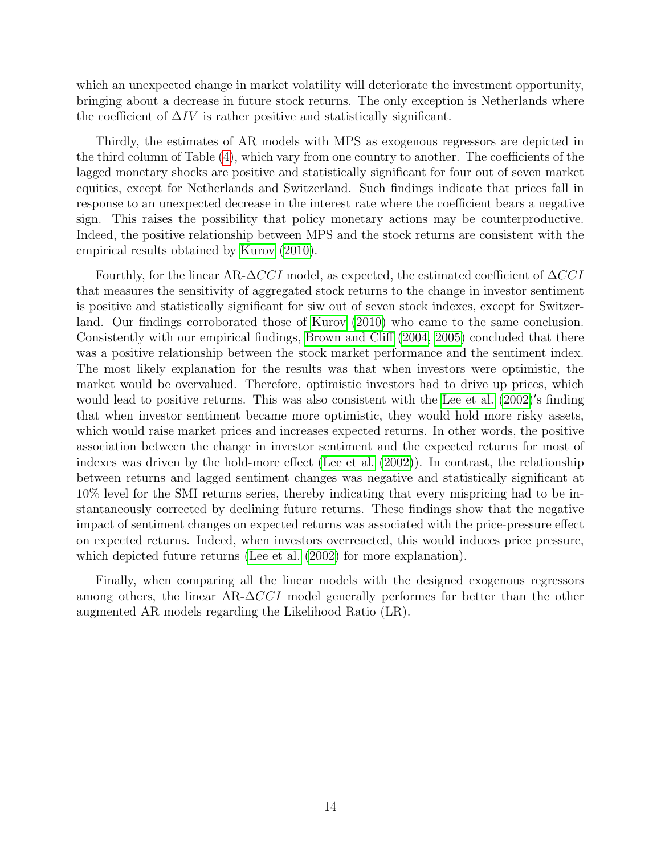which an unexpected change in market volatility will deteriorate the investment opportunity, bringing about a decrease in future stock returns. The only exception is Netherlands where the coefficient of  $\Delta IV$  is rather positive and statistically significant.

Thirdly, the estimates of AR models with MPS as exogenous regressors are depicted in the third column of Table [\(4\)](#page-14-0), which vary from one country to another. The coefficients of the lagged monetary shocks are positive and statistically significant for four out of seven market equities, except for Netherlands and Switzerland. Such findings indicate that prices fall in response to an unexpected decrease in the interest rate where the coefficient bears a negative sign. This raises the possibility that policy monetary actions may be counterproductive. Indeed, the positive relationship between MPS and the stock returns are consistent with the empirical results obtained by [Kurov](#page-23-7) [\(2010\)](#page-23-7).

Fourthly, for the linear AR- $\Delta CCI$  model, as expected, the estimated coefficient of  $\Delta CCI$ that measures the sensitivity of aggregated stock returns to the change in investor sentiment is positive and statistically significant for siw out of seven stock indexes, except for Switzerland. Our findings corroborated those of [Kurov](#page-23-7) [\(2010\)](#page-23-7) who came to the same conclusion. Consistently with our empirical findings, [Brown and Cliff](#page-22-10) [\(2004,](#page-22-10) [2005\)](#page-22-4) concluded that there was a positive relationship between the stock market performance and the sentiment index. The most likely explanation for the results was that when investors were optimistic, the market would be overvalued. Therefore, optimistic investors had to drive up prices, which would lead to positive returns. This was also consistent with the [Lee et al.](#page-23-9) [\(2002\)](#page-23-9)'s finding that when investor sentiment became more optimistic, they would hold more risky assets, which would raise market prices and increases expected returns. In other words, the positive association between the change in investor sentiment and the expected returns for most of indexes was driven by the hold-more effect [\(Lee et al.](#page-23-9) [\(2002\)](#page-23-9)). In contrast, the relationship between returns and lagged sentiment changes was negative and statistically significant at 10% level for the SMI returns series, thereby indicating that every mispricing had to be instantaneously corrected by declining future returns. These findings show that the negative impact of sentiment changes on expected returns was associated with the price-pressure effect on expected returns. Indeed, when investors overreacted, this would induces price pressure, which depicted future returns [\(Lee et al.](#page-23-9)  $(2002)$  for more explanation).

Finally, when comparing all the linear models with the designed exogenous regressors among others, the linear AR- $\Delta$ CCI model generally performes far better than the other augmented AR models regarding the Likelihood Ratio (LR).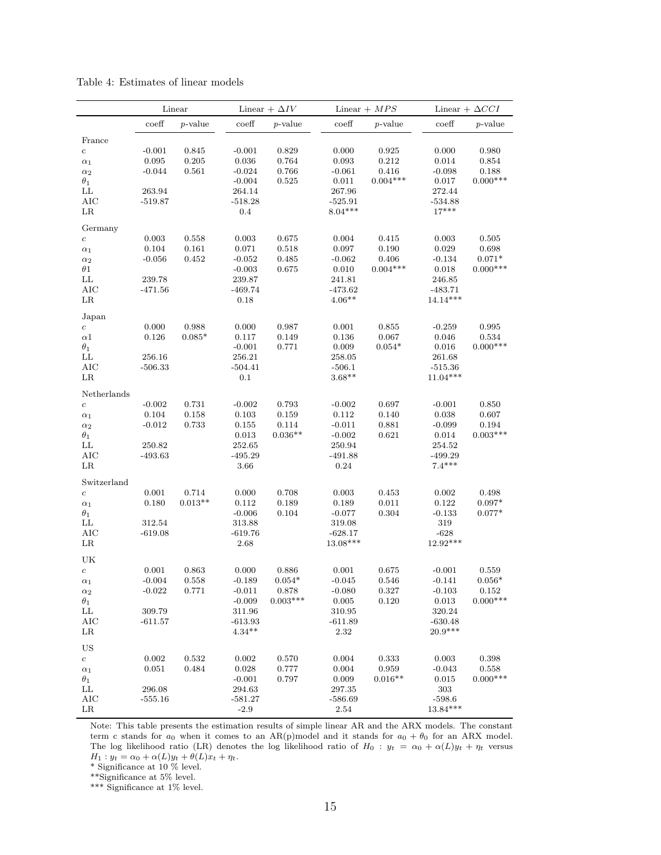|                            | Linear              |                      |                      | Linear + $\Delta IV$ |                        | Linear $+ MPS$      |                      | Linear + $\Delta CCI$  |  |
|----------------------------|---------------------|----------------------|----------------------|----------------------|------------------------|---------------------|----------------------|------------------------|--|
|                            | coeff               | $p$ -value           | $\mathrm{coeff}$     | $p$ -value           | $\mathrm{coeff}$       | $p$ -value          | $\mathrm{coeff}$     | $p$ -value             |  |
| France                     |                     |                      |                      |                      |                        |                     |                      |                        |  |
| $\rm{c}$                   | $-0.001$            | 0.845                | $-0.001$             | 0.829                | 0.000                  | 0.925               | 0.000                | 0.980                  |  |
| $\alpha_1$                 | 0.095               | 0.205                | 0.036                | 0.764                | 0.093                  | 0.212               | 0.014                | 0.854                  |  |
| $\alpha_2$                 | $-0.044$            | 0.561                | $-0.024$             | 0.766                | $-0.061$               | 0.416               | $-0.098$             | 0.188                  |  |
| $\theta_1$                 |                     |                      | $-0.004$             | 0.525                | 0.011                  | $0.004***$          | 0.017                | $0.000***$             |  |
| LL                         | 263.94              |                      | 264.14               |                      | 267.96                 |                     | 272.44               |                        |  |
| <b>AIC</b>                 | $-519.87$           |                      | $-518.28$            |                      | $-525.91$<br>$8.04***$ |                     | $-534.88$<br>$17***$ |                        |  |
| $_{LR}$                    |                     |                      | 0.4                  |                      |                        |                     |                      |                        |  |
| Germany                    |                     |                      |                      |                      |                        |                     |                      |                        |  |
| $\boldsymbol{c}$           | 0.003               | 0.558                | 0.003                | 0.675                | 0.004                  | 0.415               | 0.003                | 0.505                  |  |
| $\alpha_1$                 | 0.104               | 0.161                | 0.071                | 0.518                | 0.097                  | 0.190               | 0.029                | 0.698                  |  |
| $\alpha_2$<br>$\theta1$    | $-0.056$            | 0.452                | $-0.052$<br>$-0.003$ | 0.485<br>0.675       | $-0.062$<br>0.010      | 0.406<br>$0.004***$ | $-0.134$<br>0.018    | $0.071*$<br>$0.000***$ |  |
| LL                         | 239.78              |                      | 239.87               |                      | 241.81                 |                     | 246.85               |                        |  |
| <b>AIC</b>                 | $-471.56$           |                      | $-469.74$            |                      | $-473.62$              |                     | $-483.71$            |                        |  |
| $_{LR}$                    |                     |                      | 0.18                 |                      | $4.06**$               |                     | $14.14***$           |                        |  |
|                            |                     |                      |                      |                      |                        |                     |                      |                        |  |
| Japan<br>$\boldsymbol{c}$  | 0.000               | 0.988                | 0.000                | 0.987                | 0.001                  | 0.855               | $-0.259$             | 0.995                  |  |
| $\alpha$ 1                 | 0.126               | $0.085*$             | 0.117                | 0.149                | 0.136                  | 0.067               | 0.046                | 0.534                  |  |
| $\theta_1$                 |                     |                      | $-0.001$             | 0.771                | 0.009                  | $0.054*$            | 0.016                | $0.000***$             |  |
| $\mathop{\rm LL}\nolimits$ | 256.16              |                      | 256.21               |                      | 258.05                 |                     | 261.68               |                        |  |
| <b>AIC</b>                 | $-506.33$           |                      | $-504.41$            |                      | $-506.1$               |                     | $-515.36$            |                        |  |
| $_{LR}$                    |                     |                      | 0.1                  |                      | $3.68**$               |                     | $11.04***$           |                        |  |
| ${\bf Netherlands}$        |                     |                      |                      |                      |                        |                     |                      |                        |  |
| $\boldsymbol{c}$           | $-0.002$            | 0.731                | $-0.002$             | 0.793                | $-0.002$               | 0.697               | $-0.001$             | 0.850                  |  |
| $\alpha_1$                 | 0.104               | 0.158                | 0.103                | 0.159                | 0.112                  | 0.140               | 0.038                | 0.607                  |  |
| $\alpha_2$                 | $-0.012$            | 0.733                | 0.155                | 0.114                | $-0.011$               | 0.881               | $-0.099$             | 0.194                  |  |
| $\theta_1$                 |                     |                      | 0.013                | $0.036**$            | $-0.002$               | 0.621               | 0.014                | $0.003***$             |  |
| LL                         | 250.82              |                      | 252.65               |                      | 250.94                 |                     | 254.52               |                        |  |
| AIC                        | $-493.63$           |                      | $-495.29$            |                      | $-491.88$              |                     | $-499.29$            |                        |  |
| LR                         |                     |                      | 3.66                 |                      | 0.24                   |                     | $7.4***$             |                        |  |
| Switzerland                |                     |                      |                      |                      |                        |                     |                      |                        |  |
| $\boldsymbol{c}$           | 0.001               | 0.714                | 0.000                | 0.708                | 0.003                  | 0.453               | 0.002                | 0.498                  |  |
| $\alpha_1$                 | 0.180               | $0.013**$            | 0.112                | 0.189                | 0.189                  | 0.011               | 0.122                | $0.097*$               |  |
| $\theta_1$                 |                     |                      | $-0.006$             | 0.104                | $-0.077$               | 0.304               | $-0.133$             | $0.077*$               |  |
| LL<br><b>AIC</b>           | 312.54<br>$-619.08$ |                      | 313.88<br>$-619.76$  |                      | 319.08<br>$-628.17$    |                     | 319<br>$-628$        |                        |  |
| LR                         |                     |                      | 2.68                 |                      | 13.08***               |                     | $12.92***$           |                        |  |
|                            |                     |                      |                      |                      |                        |                     |                      |                        |  |
| UK                         |                     |                      |                      |                      |                        |                     |                      |                        |  |
| $\boldsymbol{c}$           | 0.001<br>$-0.004$   | 0.863<br>$\,0.558\,$ | 0.000<br>$-0.189$    | 0.886<br>$0.054*$    | 0.001<br>$-0.045$      | 0.675<br>0.546      | $-0.001$<br>$-0.141$ | 0.559<br>$0.056*$      |  |
| $\alpha_1$                 | $-0.022$            | 0.771                | $-0.011$             | 0.878                | $-0.080$               | 0.327               | $-0.103$             | 0.152                  |  |
| $\alpha_2$<br>$\theta_1$   |                     |                      | $-0.009$             | $0.003***$           | 0.005                  | 0.120               | 0.013                | $0.000***$             |  |
| LL                         | 309.79              |                      | 311.96               |                      | 310.95                 |                     | 320.24               |                        |  |
| AIC                        | $-611.57$           |                      | -613.93              |                      | $-611.89$              |                     | $-630.48$            |                        |  |
| $_{LR}$                    |                     |                      | $4.34**$             |                      | 2.32                   |                     | $20.9***$            |                        |  |
| US                         |                     |                      |                      |                      |                        |                     |                      |                        |  |
| $\boldsymbol{c}$           | 0.002               | 0.532                | 0.002                | 0.570                | 0.004                  | 0.333               | 0.003                | 0.398                  |  |
| $\alpha_1$                 | 0.051               | 0.484                | 0.028                | 0.777                | 0.004                  | 0.959               | $-0.043$             | 0.558                  |  |
| $\theta_1$                 |                     |                      | $-0.001$             | 0.797                | 0.009                  | $0.016**$           | 0.015                | $0.000***$             |  |
| LL                         | 296.08              |                      | 294.63               |                      | 297.35                 |                     | $303\,$              |                        |  |
| AIC                        | $-555.16$           |                      | $-581.27$            |                      | $-586.69$              |                     | $-598.6$             |                        |  |
| $_{LR}$                    |                     |                      | $-2.9$               |                      | 2.54                   |                     | $13.84***$           |                        |  |

<span id="page-14-0"></span>Table 4: Estimates of linear models

Note: This table presents the estimation results of simple linear AR and the ARX models. The constant term c stands for  $a_0$  when it comes to an AR(p)model and it stands for  $a_0 + \theta_0$  for an ARX model. The log likelihood ratio (LR) denotes the log likelihood ratio of  $H_0: y_t = \alpha_0 + \alpha(L)y_t + \eta_t$  versus  $H_1: y_t = \alpha_0 + \alpha(L)y_t + \theta(L)x_t + \eta_t.$ 

\* Significance at 10 % level.

\*\*Significance at 5% level.

\*\*\* Significance at 1% level.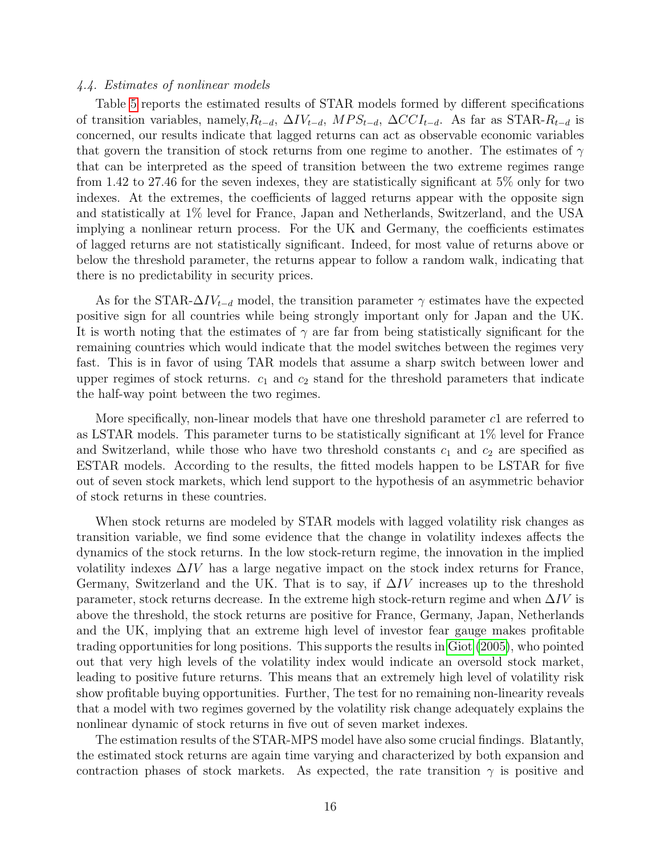#### 4.4. Estimates of nonlinear models

Table [5](#page-17-0) reports the estimated results of STAR models formed by different specifications of transition variables, namely, $R_{t-d}$ ,  $\Delta IV_{t-d}$ ,  $MPS_{t-d}$ ,  $\Delta CCI_{t-d}$ . As far as STAR- $R_{t-d}$  is concerned, our results indicate that lagged returns can act as observable economic variables that govern the transition of stock returns from one regime to another. The estimates of  $\gamma$ that can be interpreted as the speed of transition between the two extreme regimes range from 1.42 to 27.46 for the seven indexes, they are statistically significant at 5% only for two indexes. At the extremes, the coefficients of lagged returns appear with the opposite sign and statistically at 1% level for France, Japan and Netherlands, Switzerland, and the USA implying a nonlinear return process. For the UK and Germany, the coefficients estimates of lagged returns are not statistically significant. Indeed, for most value of returns above or below the threshold parameter, the returns appear to follow a random walk, indicating that there is no predictability in security prices.

As for the STAR- $\Delta IV_{t-d}$  model, the transition parameter  $\gamma$  estimates have the expected positive sign for all countries while being strongly important only for Japan and the UK. It is worth noting that the estimates of  $\gamma$  are far from being statistically significant for the remaining countries which would indicate that the model switches between the regimes very fast. This is in favor of using TAR models that assume a sharp switch between lower and upper regimes of stock returns.  $c_1$  and  $c_2$  stand for the threshold parameters that indicate the half-way point between the two regimes.

More specifically, non-linear models that have one threshold parameter c1 are referred to as LSTAR models. This parameter turns to be statistically significant at 1% level for France and Switzerland, while those who have two threshold constants  $c_1$  and  $c_2$  are specified as ESTAR models. According to the results, the fitted models happen to be LSTAR for five out of seven stock markets, which lend support to the hypothesis of an asymmetric behavior of stock returns in these countries.

When stock returns are modeled by STAR models with lagged volatility risk changes as transition variable, we find some evidence that the change in volatility indexes affects the dynamics of the stock returns. In the low stock-return regime, the innovation in the implied volatility indexes  $\Delta IV$  has a large negative impact on the stock index returns for France, Germany, Switzerland and the UK. That is to say, if  $\Delta IV$  increases up to the threshold parameter, stock returns decrease. In the extreme high stock-return regime and when  $\Delta IV$  is above the threshold, the stock returns are positive for France, Germany, Japan, Netherlands and the UK, implying that an extreme high level of investor fear gauge makes profitable trading opportunities for long positions. This supports the results in [Giot](#page-23-5) [\(2005\)](#page-23-5), who pointed out that very high levels of the volatility index would indicate an oversold stock market, leading to positive future returns. This means that an extremely high level of volatility risk show profitable buying opportunities. Further, The test for no remaining non-linearity reveals that a model with two regimes governed by the volatility risk change adequately explains the nonlinear dynamic of stock returns in five out of seven market indexes.

The estimation results of the STAR-MPS model have also some crucial findings. Blatantly, the estimated stock returns are again time varying and characterized by both expansion and contraction phases of stock markets. As expected, the rate transition  $\gamma$  is positive and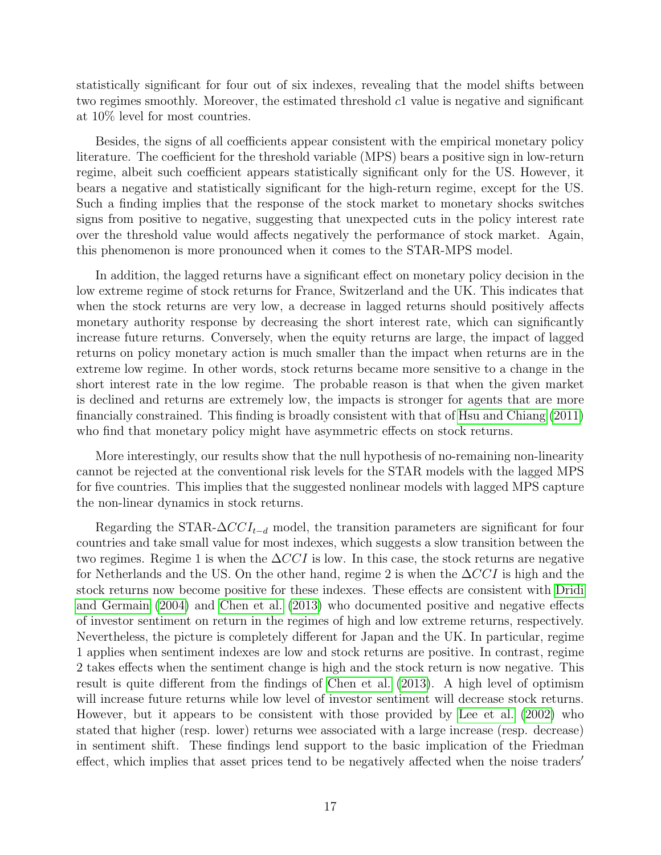statistically significant for four out of six indexes, revealing that the model shifts between two regimes smoothly. Moreover, the estimated threshold c1 value is negative and significant at 10% level for most countries.

Besides, the signs of all coefficients appear consistent with the empirical monetary policy literature. The coefficient for the threshold variable (MPS) bears a positive sign in low-return regime, albeit such coefficient appears statistically significant only for the US. However, it bears a negative and statistically significant for the high-return regime, except for the US. Such a finding implies that the response of the stock market to monetary shocks switches signs from positive to negative, suggesting that unexpected cuts in the policy interest rate over the threshold value would affects negatively the performance of stock market. Again, this phenomenon is more pronounced when it comes to the STAR-MPS model.

In addition, the lagged returns have a significant effect on monetary policy decision in the low extreme regime of stock returns for France, Switzerland and the UK. This indicates that when the stock returns are very low, a decrease in lagged returns should positively affects monetary authority response by decreasing the short interest rate, which can significantly increase future returns. Conversely, when the equity returns are large, the impact of lagged returns on policy monetary action is much smaller than the impact when returns are in the extreme low regime. In other words, stock returns became more sensitive to a change in the short interest rate in the low regime. The probable reason is that when the given market is declined and returns are extremely low, the impacts is stronger for agents that are more financially constrained. This finding is broadly consistent with that of [Hsu and Chiang](#page-23-6) [\(2011\)](#page-23-6) who find that monetary policy might have asymmetric effects on stock returns.

More interestingly, our results show that the null hypothesis of no-remaining non-linearity cannot be rejected at the conventional risk levels for the STAR models with the lagged MPS for five countries. This implies that the suggested nonlinear models with lagged MPS capture the non-linear dynamics in stock returns.

Regarding the STAR- $\Delta CCI_{t-d}$  model, the transition parameters are significant for four countries and take small value for most indexes, which suggests a slow transition between the two regimes. Regime 1 is when the  $\Delta CCI$  is low. In this case, the stock returns are negative for Netherlands and the US. On the other hand, regime 2 is when the  $\Delta CCI$  is high and the stock returns now become positive for these indexes. These effects are consistent with [Dridi](#page-22-11) [and Germain](#page-22-11) [\(2004\)](#page-22-11) and [Chen et al.](#page-22-13) [\(2013\)](#page-22-13) who documented positive and negative effects of investor sentiment on return in the regimes of high and low extreme returns, respectively. Nevertheless, the picture is completely different for Japan and the UK. In particular, regime 1 applies when sentiment indexes are low and stock returns are positive. In contrast, regime 2 takes effects when the sentiment change is high and the stock return is now negative. This result is quite different from the findings of [Chen et al.](#page-22-13) [\(2013\)](#page-22-13). A high level of optimism will increase future returns while low level of investor sentiment will decrease stock returns. However, but it appears to be consistent with those provided by [Lee et al.](#page-23-9) [\(2002\)](#page-23-9) who stated that higher (resp. lower) returns wee associated with a large increase (resp. decrease) in sentiment shift. These findings lend support to the basic implication of the Friedman effect, which implies that asset prices tend to be negatively affected when the noise traders'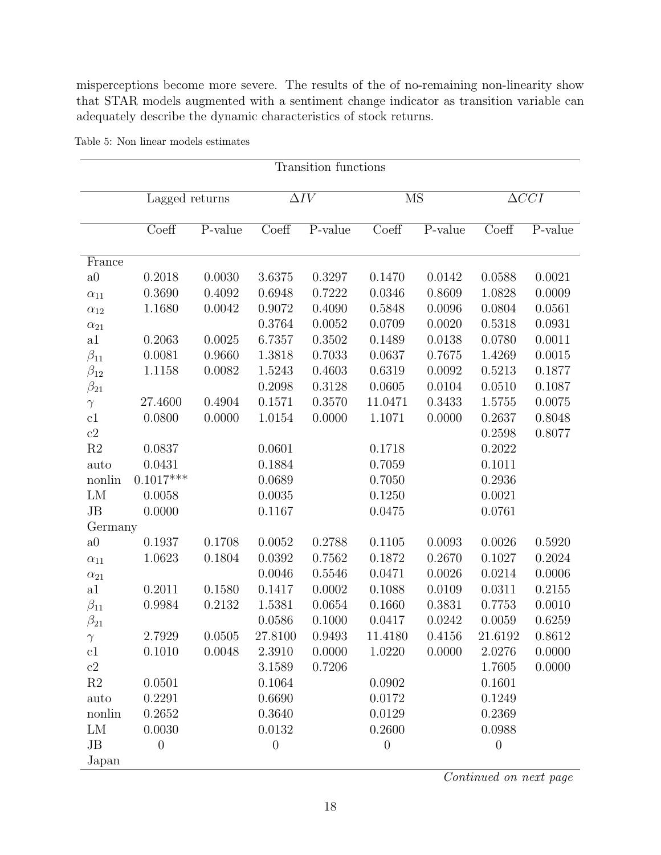misperceptions become more severe. The results of the of no-remaining non-linearity show that STAR models augmented with a sentiment change indicator as transition variable can adequately describe the dynamic characteristics of stock returns.

| Transition functions       |                  |         |             |                       |                                                          |         |                         |         |  |  |
|----------------------------|------------------|---------|-------------|-----------------------|----------------------------------------------------------|---------|-------------------------|---------|--|--|
|                            |                  |         |             |                       |                                                          |         |                         |         |  |  |
|                            | Lagged returns   |         | $\Delta IV$ |                       | <b>MS</b>                                                |         | $\overline{\Delta CCI}$ |         |  |  |
|                            | Coeff            | P-value | Coeff       | $\overline{P}$ -value | $\mathrm{Co}e\overline{\mathrm{f}}\overline{\mathrm{f}}$ | P-value | Coeff                   | P-value |  |  |
|                            |                  |         |             |                       |                                                          |         |                         |         |  |  |
| France                     |                  |         |             |                       |                                                          |         |                         |         |  |  |
| a0                         | 0.2018           | 0.0030  | 3.6375      | 0.3297                | 0.1470                                                   | 0.0142  | 0.0588                  | 0.0021  |  |  |
| $\alpha_{11}$              | 0.3690           | 0.4092  | 0.6948      | 0.7222                | 0.0346                                                   | 0.8609  | 1.0828                  | 0.0009  |  |  |
| $\alpha_{12}$              | 1.1680           | 0.0042  | $0.9072\,$  | 0.4090                | 0.5848                                                   | 0.0096  | 0.0804                  | 0.0561  |  |  |
| $\alpha_{21}$              |                  |         | 0.3764      | 0.0052                | 0.0709                                                   | 0.0020  | 0.5318                  | 0.0931  |  |  |
| a1                         | 0.2063           | 0.0025  | 6.7357      | 0.3502                | 0.1489                                                   | 0.0138  | 0.0780                  | 0.0011  |  |  |
| $\beta_{11}$               | 0.0081           | 0.9660  | 1.3818      | 0.7033                | 0.0637                                                   | 0.7675  | 1.4269                  | 0.0015  |  |  |
| $\beta_{12}$               | 1.1158           | 0.0082  | 1.5243      | 0.4603                | 0.6319                                                   | 0.0092  | 0.5213                  | 0.1877  |  |  |
| $\beta_{21}$               |                  |         | 0.2098      | 0.3128                | 0.0605                                                   | 0.0104  | 0.0510                  | 0.1087  |  |  |
| $\gamma$                   | 27.4600          | 0.4904  | 0.1571      | 0.3570                | 11.0471                                                  | 0.3433  | 1.5755                  | 0.0075  |  |  |
| $\mathop{\rm c}\nolimits1$ | 0.0800           | 0.0000  | 1.0154      | 0.0000                | 1.1071                                                   | 0.0000  | 0.2637                  | 0.8048  |  |  |
| $\mathbf{c}2$              |                  |         |             |                       |                                                          |         | 0.2598                  | 0.8077  |  |  |
| $\mathbf{R}2$              | 0.0837           |         | 0.0601      |                       | 0.1718                                                   |         | 0.2022                  |         |  |  |
| auto                       | 0.0431           |         | 0.1884      |                       | 0.7059                                                   |         | 0.1011                  |         |  |  |
| nonlin                     | $0.1017***$      |         | 0.0689      |                       | 0.7050                                                   |         | 0.2936                  |         |  |  |
| LM                         | 0.0058           |         | 0.0035      |                       | 0.1250                                                   |         | 0.0021                  |         |  |  |
| JB                         | 0.0000           |         | 0.1167      |                       | 0.0475                                                   |         | 0.0761                  |         |  |  |
| Germany                    |                  |         |             |                       |                                                          |         |                         |         |  |  |
| a <sub>0</sub>             | 0.1937           | 0.1708  | 0.0052      | 0.2788                | 0.1105                                                   | 0.0093  | 0.0026                  | 0.5920  |  |  |
| $\alpha_{11}$              | 1.0623           | 0.1804  | 0.0392      | 0.7562                | 0.1872                                                   | 0.2670  | 0.1027                  | 0.2024  |  |  |
| $\alpha_{21}$              |                  |         | 0.0046      | 0.5546                | 0.0471                                                   | 0.0026  | 0.0214                  | 0.0006  |  |  |
| a1                         | 0.2011           | 0.1580  | 0.1417      | 0.0002                | 0.1088                                                   | 0.0109  | 0.0311                  | 0.2155  |  |  |
| $\beta_{11}$               | 0.9984           | 0.2132  | 1.5381      | 0.0654                | 0.1660                                                   | 0.3831  | 0.7753                  | 0.0010  |  |  |
| $\beta_{21}$               |                  |         | 0.0586      | 0.1000                | 0.0417                                                   | 0.0242  | 0.0059                  | 0.6259  |  |  |
|                            | 2.7929           | 0.0505  | 27.8100     | 0.9493                | 11.4180                                                  | 0.4156  | 21.6192                 | 0.8612  |  |  |
| c1                         | 0.1010           | 0.0048  | 2.3910      | 0.0000                | 1.0220                                                   | 0.0000  | 2.0276                  | 0.0000  |  |  |
| $\mathbf{c}2$              |                  |         | 3.1589      | 0.7206                |                                                          |         | 1.7605                  | 0.0000  |  |  |
| $\mathbf{R}2$              | 0.0501           |         | 0.1064      |                       | 0.0902                                                   |         | 0.1601                  |         |  |  |
| auto                       | 0.2291           |         | 0.6690      |                       | 0.0172                                                   |         | 0.1249                  |         |  |  |
| nonlin                     | 0.2652           |         | 0.3640      |                       | 0.0129                                                   |         | 0.2369                  |         |  |  |
| LM                         | 0.0030           |         | 0.0132      |                       | 0.2600                                                   |         | 0.0988                  |         |  |  |
| JB                         | $\boldsymbol{0}$ |         | $\theta$    |                       | $\boldsymbol{0}$                                         |         | $\theta$                |         |  |  |
| Japan                      |                  |         |             |                       |                                                          |         |                         |         |  |  |

<span id="page-17-0"></span>Table 5: Non linear models estimates

Continued on next page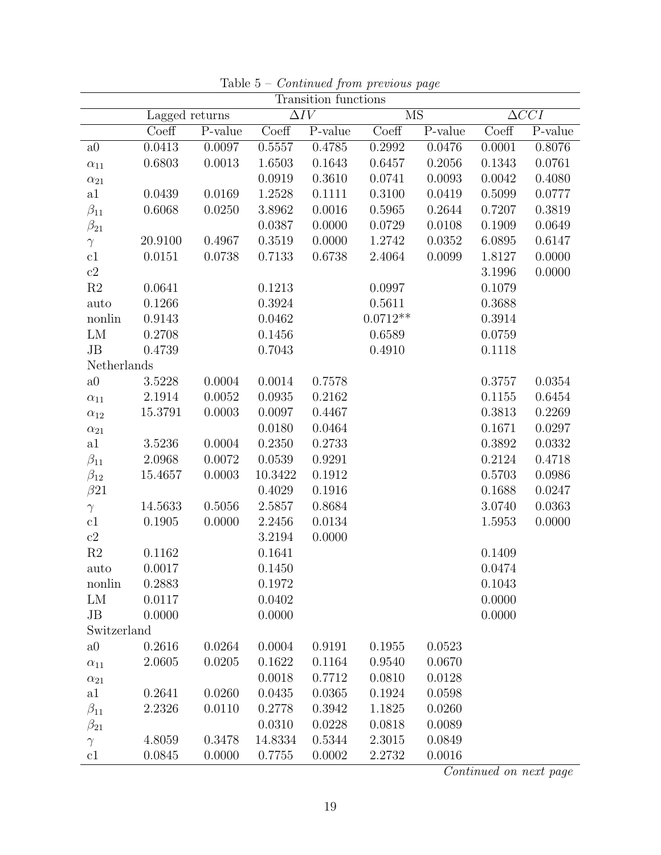| Transition functions |                           |         |         |                        |                        |         |        |              |  |
|----------------------|---------------------------|---------|---------|------------------------|------------------------|---------|--------|--------------|--|
|                      | Lagged returns            |         |         | $\overline{\Delta IV}$ | $\overline{\text{MS}}$ |         |        | $\Delta CCI$ |  |
|                      | $\overline{\text{Coeff}}$ | P-value | Coeff   | P-value                | Coeff                  | P-value | Coeff  | $P-value$    |  |
| a0                   | 0.0413                    | 0.0097  | 0.5557  | 0.4785                 | 0.2992                 | 0.0476  | 0.0001 | 0.8076       |  |
| $\alpha_{11}$        | 0.6803                    | 0.0013  | 1.6503  | 0.1643                 | 0.6457                 | 0.2056  | 0.1343 | 0.0761       |  |
| $\alpha_{21}$        |                           |         | 0.0919  | 0.3610                 | 0.0741                 | 0.0093  | 0.0042 | 0.4080       |  |
| a1                   | 0.0439                    | 0.0169  | 1.2528  | 0.1111                 | 0.3100                 | 0.0419  | 0.5099 | 0.0777       |  |
| $\beta_{11}$         | 0.6068                    | 0.0250  | 3.8962  | 0.0016                 | 0.5965                 | 0.2644  | 0.7207 | 0.3819       |  |
| $\beta_{21}$         |                           |         | 0.0387  | 0.0000                 | 0.0729                 | 0.0108  | 0.1909 | 0.0649       |  |
| $\gamma$             | 20.9100                   | 0.4967  | 0.3519  | 0.0000                 | 1.2742                 | 0.0352  | 6.0895 | 0.6147       |  |
| c1                   | 0.0151                    | 0.0738  | 0.7133  | 0.6738                 | 2.4064                 | 0.0099  | 1.8127 | 0.0000       |  |
| $\mathrm{c}2$        |                           |         |         |                        |                        |         | 3.1996 | 0.0000       |  |
| $\mathbf{R}2$        | 0.0641                    |         | 0.1213  |                        | 0.0997                 |         | 0.1079 |              |  |
| auto                 | 0.1266                    |         | 0.3924  |                        | 0.5611                 |         | 0.3688 |              |  |
| nonlin               | 0.9143                    |         | 0.0462  |                        | $0.0712**$             |         | 0.3914 |              |  |
| LM                   | 0.2708                    |         | 0.1456  |                        | 0.6589                 |         | 0.0759 |              |  |
| JB                   | 0.4739                    |         | 0.7043  |                        | 0.4910                 |         | 0.1118 |              |  |
| Netherlands          |                           |         |         |                        |                        |         |        |              |  |
| a0                   | 3.5228                    | 0.0004  | 0.0014  | 0.7578                 |                        |         | 0.3757 | 0.0354       |  |
| $\alpha_{11}$        | 2.1914                    | 0.0052  | 0.0935  | 0.2162                 |                        |         | 0.1155 | 0.6454       |  |
| $\alpha_{12}$        | 15.3791                   | 0.0003  | 0.0097  | 0.4467                 |                        |         | 0.3813 | 0.2269       |  |
| $\alpha_{21}$        |                           |         | 0.0180  | 0.0464                 |                        |         | 0.1671 | 0.0297       |  |
| a1                   | 3.5236                    | 0.0004  | 0.2350  | 0.2733                 |                        |         | 0.3892 | 0.0332       |  |
| $\beta_{11}$         | 2.0968                    | 0.0072  | 0.0539  | 0.9291                 |                        |         | 0.2124 | 0.4718       |  |
| $\beta_{12}$         | 15.4657                   | 0.0003  | 10.3422 | 0.1912                 |                        |         | 0.5703 | 0.0986       |  |
| $\beta$ 21           |                           |         | 0.4029  | 0.1916                 |                        |         | 0.1688 | 0.0247       |  |
| $\gamma$             | 14.5633                   | 0.5056  | 2.5857  | 0.8684                 |                        |         | 3.0740 | 0.0363       |  |
| c1                   | 0.1905                    | 0.0000  | 2.2456  | 0.0134                 |                        |         | 1.5953 | 0.0000       |  |
| $\mathrm{c}2$        |                           |         | 3.2194  | 0.0000                 |                        |         |        |              |  |
| R2                   | 0.1162                    |         | 0.1641  |                        |                        |         | 0.1409 |              |  |
| auto                 | 0.0017                    |         | 0.1450  |                        |                        |         | 0.0474 |              |  |
| nonlin               | 0.2883                    |         | 0.1972  |                        |                        |         | 0.1043 |              |  |
| LM                   | 0.0117                    |         | 0.0402  |                        |                        |         | 0.0000 |              |  |
| JB                   | 0.0000                    |         | 0.0000  |                        |                        |         | 0.0000 |              |  |
| Switzerland          |                           |         |         |                        |                        |         |        |              |  |
| a0                   | 0.2616                    | 0.0264  | 0.0004  | 0.9191                 | 0.1955                 | 0.0523  |        |              |  |
| $\alpha_{11}$        | 2.0605                    | 0.0205  | 0.1622  | 0.1164                 | 0.9540                 | 0.0670  |        |              |  |
| $\alpha_{21}$        |                           |         | 0.0018  | 0.7712                 | 0.0810                 | 0.0128  |        |              |  |
| a1                   | 0.2641                    | 0.0260  | 0.0435  | 0.0365                 | 0.1924                 | 0.0598  |        |              |  |
| $\beta_{11}$         | 2.2326                    | 0.0110  | 0.2778  | 0.3942                 | 1.1825                 | 0.0260  |        |              |  |
| $\beta_{21}$         |                           |         | 0.0310  | 0.0228                 | 0.0818                 | 0.0089  |        |              |  |
| $\gamma$             | 4.8059                    | 0.3478  | 14.8334 | 0.5344                 | 2.3015                 | 0.0849  |        |              |  |
| c1                   | 0.0845                    | 0.0000  | 0.7755  | 0.0002                 | 2.2732                 | 0.0016  |        |              |  |

Table  $5$  –  $Continued$  from previous page

Continued on next page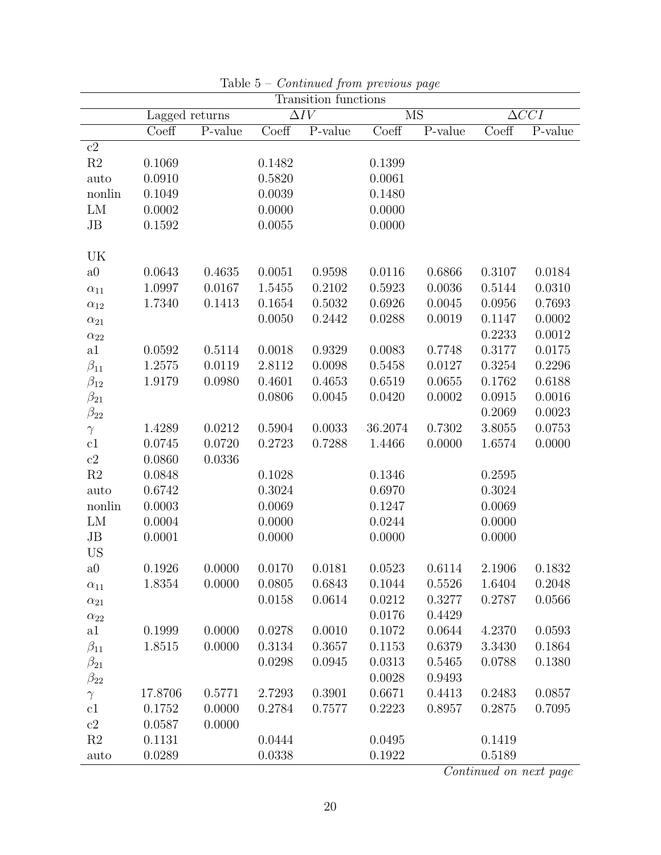|                |                |         |                           | $1.00000$ $1.0000$<br>Transition functions |           |         |                           |                 |
|----------------|----------------|---------|---------------------------|--------------------------------------------|-----------|---------|---------------------------|-----------------|
|                | Lagged returns |         | $\overline{\Delta IV}$    |                                            | <b>MS</b> |         |                           | $\triangle CCI$ |
|                | Coeff          | P-value | $\overline{\text{Coeff}}$ | $\overline{P}$ -value                      | Coeff     | P-value | $\overline{\text{Coeff}}$ | P-value         |
| c2             |                |         |                           |                                            |           |         |                           |                 |
| $\mathbf{R}2$  | 0.1069         |         | 0.1482                    |                                            | 0.1399    |         |                           |                 |
| auto           | 0.0910         |         | 0.5820                    |                                            | 0.0061    |         |                           |                 |
| nonlin         | 0.1049         |         | 0.0039                    |                                            | 0.1480    |         |                           |                 |
| LM             | 0.0002         |         | 0.0000                    |                                            | 0.0000    |         |                           |                 |
| $\rm{JB}$      | 0.1592         |         | 0.0055                    |                                            | 0.0000    |         |                           |                 |
|                |                |         |                           |                                            |           |         |                           |                 |
| UK             |                |         |                           |                                            |           |         |                           |                 |
| a0             | 0.0643         | 0.4635  | 0.0051                    | 0.9598                                     | 0.0116    | 0.6866  | 0.3107                    | 0.0184          |
| $\alpha_{11}$  | 1.0997         | 0.0167  | 1.5455                    | 0.2102                                     | 0.5923    | 0.0036  | 0.5144                    | 0.0310          |
| $\alpha_{12}$  | 1.7340         | 0.1413  | 0.1654                    | 0.5032                                     | 0.6926    | 0.0045  | 0.0956                    | 0.7693          |
| $\alpha_{21}$  |                |         | 0.0050                    | 0.2442                                     | 0.0288    | 0.0019  | 0.1147                    | 0.0002          |
| $\alpha_{22}$  |                |         |                           |                                            |           |         | 0.2233                    | 0.0012          |
| a1             | 0.0592         | 0.5114  | 0.0018                    | 0.9329                                     | 0.0083    | 0.7748  | 0.3177                    | 0.0175          |
| $\beta_{11}$   | 1.2575         | 0.0119  | 2.8112                    | 0.0098                                     | 0.5458    | 0.0127  | 0.3254                    | 0.2296          |
| $\beta_{12}$   | 1.9179         | 0.0980  | 0.4601                    | 0.4653                                     | 0.6519    | 0.0655  | 0.1762                    | 0.6188          |
| $\beta_{21}$   |                |         | 0.0806                    | 0.0045                                     | 0.0420    | 0.0002  | 0.0915                    | 0.0016          |
| $\beta_{22}$   |                |         |                           |                                            |           |         | 0.2069                    | 0.0023          |
| $\gamma$       | 1.4289         | 0.0212  | 0.5904                    | 0.0033                                     | 36.2074   | 0.7302  | 3.8055                    | 0.0753          |
| c1             | 0.0745         | 0.0720  | 0.2723                    | 0.7288                                     | 1.4466    | 0.0000  | 1.6574                    | 0.0000          |
| $\mathrm{c}2$  | 0.0860         | 0.0336  |                           |                                            |           |         |                           |                 |
| $\mathbf{R}2$  | 0.0848         |         | 0.1028                    |                                            | 0.1346    |         | 0.2595                    |                 |
| auto           | 0.6742         |         | 0.3024                    |                                            | 0.6970    |         | 0.3024                    |                 |
| nonlin         | 0.0003         |         | 0.0069                    |                                            | 0.1247    |         | 0.0069                    |                 |
| LM             | 0.0004         |         | 0.0000                    |                                            | 0.0244    |         | 0.0000                    |                 |
| $\rm{JB}$      | 0.0001         |         | 0.0000                    |                                            | 0.0000    |         | 0.0000                    |                 |
| <b>US</b>      |                |         |                           |                                            |           |         |                           |                 |
| a <sub>0</sub> | 0.1926         | 0.0000  | 0.0170                    | 0.0181                                     | 0.0523    | 0.6114  | 2.1906                    | 0.1832          |
| $\alpha_{11}$  | 1.8354         | 0.0000  | 0.0805                    | 0.6843                                     | 0.1044    | 0.5526  | 1.6404                    | 0.2048          |
| $\alpha_{21}$  |                |         | 0.0158                    | 0.0614                                     | 0.0212    | 0.3277  | 0.2787                    | 0.0566          |
| $\alpha_{22}$  |                |         |                           |                                            | 0.0176    | 0.4429  |                           |                 |
| a1             | 0.1999         | 0.0000  | 0.0278                    | 0.0010                                     | 0.1072    | 0.0644  | 4.2370                    | 0.0593          |
| $\beta_{11}$   | 1.8515         | 0.0000  | 0.3134                    | 0.3657                                     | 0.1153    | 0.6379  | 3.3430                    | 0.1864          |
| $\beta_{21}$   |                |         | 0.0298                    | 0.0945                                     | 0.0313    | 0.5465  | 0.0788                    | 0.1380          |
| $\beta_{22}$   |                |         |                           |                                            | 0.0028    | 0.9493  |                           |                 |
| $\gamma$       | 17.8706        | 0.5771  | 2.7293                    | 0.3901                                     | 0.6671    | 0.4413  | 0.2483                    | 0.0857          |
| c1             | 0.1752         | 0.0000  | 0.2784                    | 0.7577                                     | 0.2223    | 0.8957  | 0.2875                    | 0.7095          |
| c2             | 0.0587         | 0.0000  |                           |                                            |           |         |                           |                 |
| R <sub>2</sub> | 0.1131         |         | 0.0444                    |                                            | 0.0495    |         | 0.1419                    |                 |
| auto           | 0.0289         |         | 0.0338                    |                                            | 0.1922    |         | 0.5189                    |                 |

Table  $5$  –  $Continued$  from previous page

Continued on next page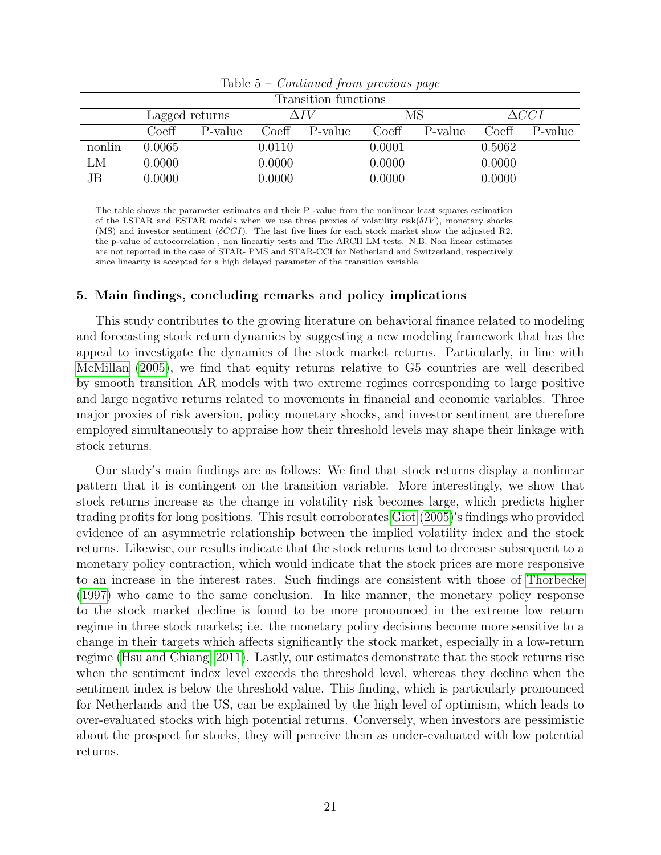| Transition functions |                  |         |            |         |        |         |        |         |  |  |  |
|----------------------|------------------|---------|------------|---------|--------|---------|--------|---------|--|--|--|
|                      | Lagged returns   |         |            |         | MS     |         | ACCI   |         |  |  |  |
|                      | $\mathrm{Coeff}$ | P-value | Coeff      | P-value | Coeff  | P-value | Coeff  | P-value |  |  |  |
| nonlin               | $0.0065\,$       |         | $0.0110\,$ |         | 0.0001 |         | 0.5062 |         |  |  |  |
| LM                   | 0.0000           |         | 0.0000     |         | 0.0000 |         | 0.0000 |         |  |  |  |
| JB                   | 0.0000           |         | 0.0000     |         | 0.0000 |         | 0.0000 |         |  |  |  |

Table  $5$  – *Continued from previous page* 

The table shows the parameter estimates and their P -value from the nonlinear least squares estimation of the LSTAR and ESTAR models when we use three proxies of volatility risk( $\delta IV$ ), monetary shocks (MS) and investor sentiment ( $\delta CCI$ ). The last five lines for each stock market show the adjusted R2, the p-value of autocorrelation , non lineartiy tests and The ARCH LM tests. N.B. Non linear estimates are not reported in the case of STAR- PMS and STAR-CCI for Netherland and Switzerland, respectively since linearity is accepted for a high delayed parameter of the transition variable.

# 5. Main findings, concluding remarks and policy implications

This study contributes to the growing literature on behavioral finance related to modeling and forecasting stock return dynamics by suggesting a new modeling framework that has the appeal to investigate the dynamics of the stock market returns. Particularly, in line with [McMillan](#page-24-2) [\(2005\)](#page-24-2), we find that equity returns relative to G5 countries are well described by smooth transition AR models with two extreme regimes corresponding to large positive and large negative returns related to movements in financial and economic variables. Three major proxies of risk aversion, policy monetary shocks, and investor sentiment are therefore employed simultaneously to appraise how their threshold levels may shape their linkage with stock returns.

Our study's main findings are as follows: We find that stock returns display a nonlinear pattern that it is contingent on the transition variable. More interestingly, we show that stock returns increase as the change in volatility risk becomes large, which predicts higher trading profits for long positions. This result corroborates [Giot](#page-23-5) [\(2005\)](#page-23-5)'s findings who provided evidence of an asymmetric relationship between the implied volatility index and the stock returns. Likewise, our results indicate that the stock returns tend to decrease subsequent to a monetary policy contraction, which would indicate that the stock prices are more responsive to an increase in the interest rates. Such findings are consistent with those of [Thorbecke](#page-25-10) [\(1997\)](#page-25-10) who came to the same conclusion. In like manner, the monetary policy response to the stock market decline is found to be more pronounced in the extreme low return regime in three stock markets; i.e. the monetary policy decisions become more sensitive to a change in their targets which affects significantly the stock market, especially in a low-return regime [\(Hsu and Chiang, 2011\)](#page-23-6). Lastly, our estimates demonstrate that the stock returns rise when the sentiment index level exceeds the threshold level, whereas they decline when the sentiment index is below the threshold value. This finding, which is particularly pronounced for Netherlands and the US, can be explained by the high level of optimism, which leads to over-evaluated stocks with high potential returns. Conversely, when investors are pessimistic about the prospect for stocks, they will perceive them as under-evaluated with low potential returns.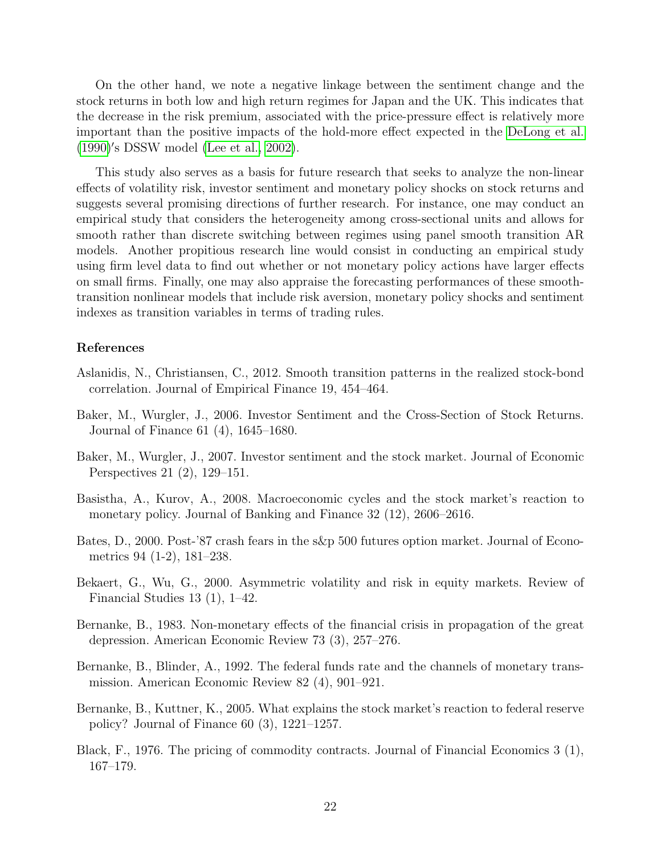On the other hand, we note a negative linkage between the sentiment change and the stock returns in both low and high return regimes for Japan and the UK. This indicates that the decrease in the risk premium, associated with the price-pressure effect is relatively more important than the positive impacts of the hold-more effect expected in the [DeLong et al.](#page-22-3) [\(1990\)](#page-22-3)'s DSSW model [\(Lee et al., 2002\)](#page-23-9).

This study also serves as a basis for future research that seeks to analyze the non-linear effects of volatility risk, investor sentiment and monetary policy shocks on stock returns and suggests several promising directions of further research. For instance, one may conduct an empirical study that considers the heterogeneity among cross-sectional units and allows for smooth rather than discrete switching between regimes using panel smooth transition AR models. Another propitious research line would consist in conducting an empirical study using firm level data to find out whether or not monetary policy actions have larger effects on small firms. Finally, one may also appraise the forecasting performances of these smoothtransition nonlinear models that include risk aversion, monetary policy shocks and sentiment indexes as transition variables in terms of trading rules.

## References

- <span id="page-21-2"></span>Aslanidis, N., Christiansen, C., 2012. Smooth transition patterns in the realized stock-bond correlation. Journal of Empirical Finance 19, 454–464.
- <span id="page-21-0"></span>Baker, M., Wurgler, J., 2006. Investor Sentiment and the Cross-Section of Stock Returns. Journal of Finance 61 (4), 1645–1680.
- <span id="page-21-1"></span>Baker, M., Wurgler, J., 2007. Investor sentiment and the stock market. Journal of Economic Perspectives 21 (2), 129–151.
- <span id="page-21-8"></span>Basistha, A., Kurov, A., 2008. Macroeconomic cycles and the stock market's reaction to monetary policy. Journal of Banking and Finance 32 (12), 2606–2616.
- <span id="page-21-5"></span>Bates, D., 2000. Post-'87 crash fears in the s&p 500 futures option market. Journal of Econometrics 94 (1-2), 181–238.
- <span id="page-21-3"></span>Bekaert, G., Wu, G., 2000. Asymmetric volatility and risk in equity markets. Review of Financial Studies 13 (1), 1–42.
- <span id="page-21-9"></span>Bernanke, B., 1983. Non-monetary effects of the financial crisis in propagation of the great depression. American Economic Review 73 (3), 257–276.
- <span id="page-21-6"></span>Bernanke, B., Blinder, A., 1992. The federal funds rate and the channels of monetary transmission. American Economic Review 82 (4), 901–921.
- <span id="page-21-7"></span>Bernanke, B., Kuttner, K., 2005. What explains the stock market's reaction to federal reserve policy? Journal of Finance 60 (3), 1221–1257.
- <span id="page-21-4"></span>Black, F., 1976. The pricing of commodity contracts. Journal of Financial Economics 3 (1), 167–179.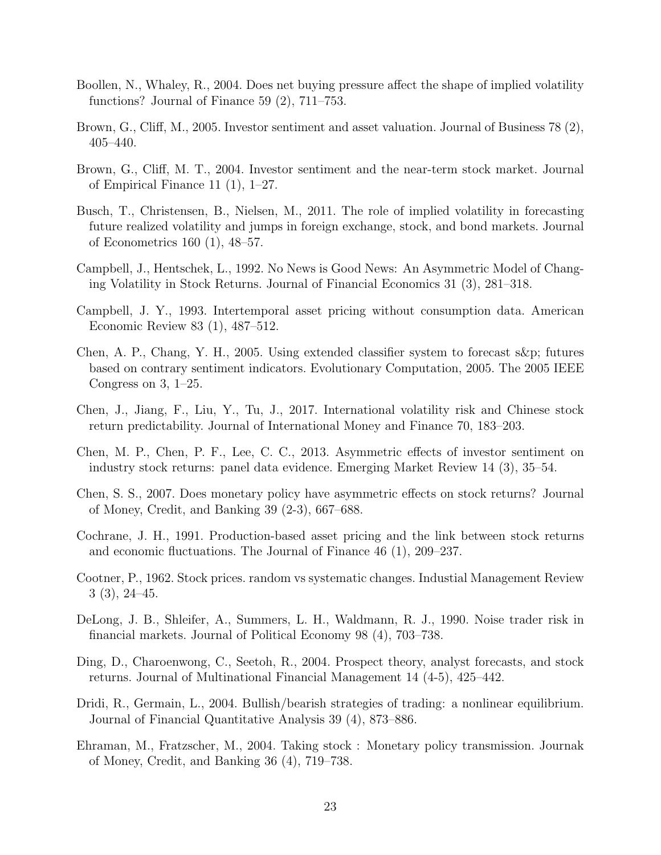- <span id="page-22-7"></span>Boollen, N., Whaley, R., 2004. Does net buying pressure affect the shape of implied volatility functions? Journal of Finance 59 (2), 711–753.
- <span id="page-22-4"></span>Brown, G., Cliff, M., 2005. Investor sentiment and asset valuation. Journal of Business 78 (2), 405–440.
- <span id="page-22-10"></span>Brown, G., Cliff, M. T., 2004. Investor sentiment and the near-term stock market. Journal of Empirical Finance 11 (1), 1–27.
- <span id="page-22-6"></span>Busch, T., Christensen, B., Nielsen, M., 2011. The role of implied volatility in forecasting future realized volatility and jumps in foreign exchange, stock, and bond markets. Journal of Econometrics 160 (1), 48–57.
- <span id="page-22-5"></span>Campbell, J., Hentschek, L., 1992. No News is Good News: An Asymmetric Model of Changing Volatility in Stock Returns. Journal of Financial Economics 31 (3), 281–318.
- <span id="page-22-15"></span>Campbell, J. Y., 1993. Intertemporal asset pricing without consumption data. American Economic Review 83 (1), 487–512.
- <span id="page-22-2"></span>Chen, A. P., Chang, Y. H., 2005. Using extended classifier system to forecast s&p; futures based on contrary sentiment indicators. Evolutionary Computation, 2005. The 2005 IEEE Congress on 3, 1–25.
- <span id="page-22-14"></span>Chen, J., Jiang, F., Liu, Y., Tu, J., 2017. International volatility risk and Chinese stock return predictability. Journal of International Money and Finance 70, 183–203.
- <span id="page-22-13"></span>Chen, M. P., Chen, P. F., Lee, C. C., 2013. Asymmetric effects of investor sentiment on industry stock returns: panel data evidence. Emerging Market Review 14 (3), 35–54.
- <span id="page-22-9"></span>Chen, S. S., 2007. Does monetary policy have asymmetric effects on stock returns? Journal of Money, Credit, and Banking 39 (2-3), 667–688.
- <span id="page-22-1"></span>Cochrane, J. H., 1991. Production-based asset pricing and the link between stock returns and economic fluctuations. The Journal of Finance 46 (1), 209–237.
- <span id="page-22-0"></span>Cootner, P., 1962. Stock prices. random vs systematic changes. Industial Management Review 3 (3), 24–45.
- <span id="page-22-3"></span>DeLong, J. B., Shleifer, A., Summers, L. H., Waldmann, R. J., 1990. Noise trader risk in financial markets. Journal of Political Economy 98 (4), 703–738.
- <span id="page-22-12"></span>Ding, D., Charoenwong, C., Seetoh, R., 2004. Prospect theory, analyst forecasts, and stock returns. Journal of Multinational Financial Management 14 (4-5), 425–442.
- <span id="page-22-11"></span>Dridi, R., Germain, L., 2004. Bullish/bearish strategies of trading: a nonlinear equilibrium. Journal of Financial Quantitative Analysis 39 (4), 873–886.
- <span id="page-22-8"></span>Ehraman, M., Fratzscher, M., 2004. Taking stock : Monetary policy transmission. Journak of Money, Credit, and Banking 36 (4), 719–738.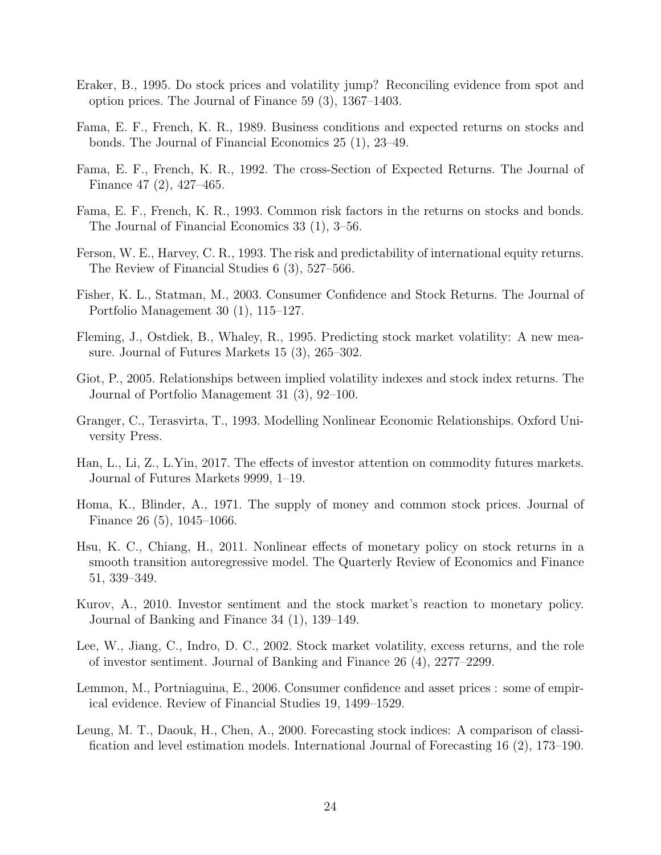- <span id="page-23-10"></span>Eraker, B., 1995. Do stock prices and volatility jump? Reconciling evidence from spot and option prices. The Journal of Finance 59 (3), 1367–1403.
- <span id="page-23-2"></span>Fama, E. F., French, K. R., 1989. Business conditions and expected returns on stocks and bonds. The Journal of Financial Economics 25 (1), 23–49.
- <span id="page-23-0"></span>Fama, E. F., French, K. R., 1992. The cross-Section of Expected Returns. The Journal of Finance 47 (2), 427–465.
- <span id="page-23-1"></span>Fama, E. F., French, K. R., 1993. Common risk factors in the returns on stocks and bonds. The Journal of Financial Economics 33 (1), 3–56.
- <span id="page-23-3"></span>Ferson, W. E., Harvey, C. R., 1993. The risk and predictability of international equity returns. The Review of Financial Studies 6 (3), 527–566.
- <span id="page-23-15"></span>Fisher, K. L., Statman, M., 2003. Consumer Confidence and Stock Returns. The Journal of Portfolio Management 30 (1), 115–127.
- <span id="page-23-11"></span>Fleming, J., Ostdiek, B., Whaley, R., 1995. Predicting stock market volatility: A new measure. Journal of Futures Markets 15 (3), 265–302.
- <span id="page-23-5"></span>Giot, P., 2005. Relationships between implied volatility indexes and stock index returns. The Journal of Portfolio Management 31 (3), 92–100.
- <span id="page-23-13"></span>Granger, C., Terasvirta, T., 1993. Modelling Nonlinear Economic Relationships. Oxford University Press.
- <span id="page-23-8"></span>Han, L., Li, Z., L.Yin, 2017. The effects of investor attention on commodity futures markets. Journal of Futures Markets 9999, 1–19.
- <span id="page-23-12"></span>Homa, K., Blinder, A., 1971. The supply of money and common stock prices. Journal of Finance 26 (5), 1045–1066.
- <span id="page-23-6"></span>Hsu, K. C., Chiang, H., 2011. Nonlinear effects of monetary policy on stock returns in a smooth transition autoregressive model. The Quarterly Review of Economics and Finance 51, 339–349.
- <span id="page-23-7"></span>Kurov, A., 2010. Investor sentiment and the stock market's reaction to monetary policy. Journal of Banking and Finance 34 (1), 139–149.
- <span id="page-23-9"></span>Lee, W., Jiang, C., Indro, D. C., 2002. Stock market volatility, excess returns, and the role of investor sentiment. Journal of Banking and Finance 26 (4), 2277–2299.
- <span id="page-23-14"></span>Lemmon, M., Portniaguina, E., 2006. Consumer confidence and asset prices : some of empirical evidence. Review of Financial Studies 19, 1499–1529.
- <span id="page-23-4"></span>Leung, M. T., Daouk, H., Chen, A., 2000. Forecasting stock indices: A comparison of classification and level estimation models. International Journal of Forecasting 16 (2), 173–190.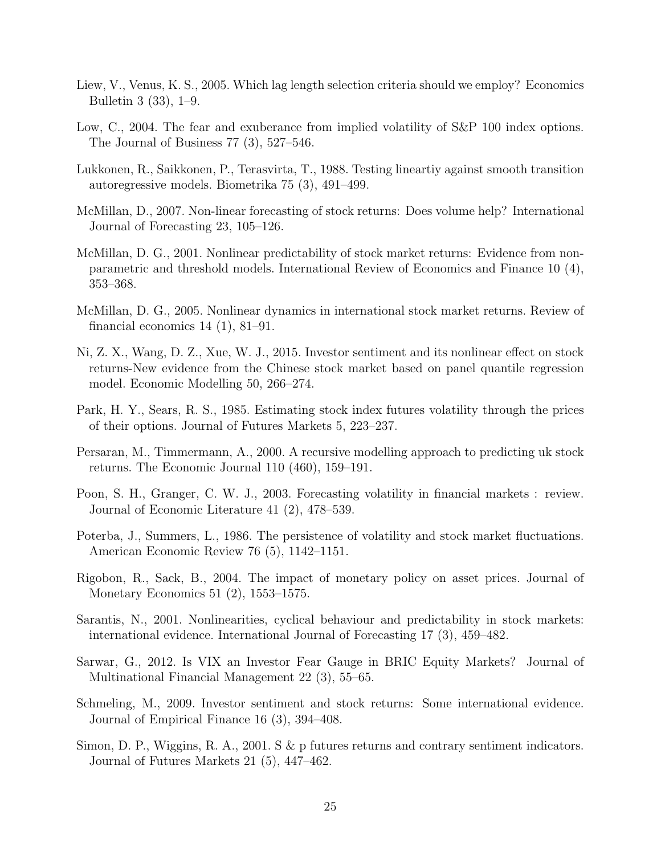- <span id="page-24-15"></span>Liew, V., Venus, K. S., 2005. Which lag length selection criteria should we employ? Economics Bulletin 3 (33), 1–9.
- <span id="page-24-10"></span>Low, C., 2004. The fear and exuberance from implied volatility of S&P 100 index options. The Journal of Business 77 (3), 527–546.
- <span id="page-24-13"></span>Lukkonen, R., Saikkonen, P., Terasvirta, T., 1988. Testing lineartiy against smooth transition autoregressive models. Biometrika 75 (3), 491–499.
- <span id="page-24-3"></span>McMillan, D., 2007. Non-linear forecasting of stock returns: Does volume help? International Journal of Forecasting 23, 105–126.
- <span id="page-24-1"></span>McMillan, D. G., 2001. Nonlinear predictability of stock market returns: Evidence from nonparametric and threshold models. International Review of Economics and Finance 10 (4), 353–368.
- <span id="page-24-2"></span>McMillan, D. G., 2005. Nonlinear dynamics in international stock market returns. Review of financial economics  $14$   $(1)$ ,  $81-91$ .
- <span id="page-24-12"></span>Ni, Z. X., Wang, D. Z., Xue, W. J., 2015. Investor sentiment and its nonlinear effect on stock returns-New evidence from the Chinese stock market based on panel quantile regression model. Economic Modelling 50, 266–274.
- <span id="page-24-8"></span>Park, H. Y., Sears, R. S., 1985. Estimating stock index futures volatility through the prices of their options. Journal of Futures Markets 5, 223–237.
- <span id="page-24-0"></span>Persaran, M., Timmermann, A., 2000. A recursive modelling approach to predicting uk stock returns. The Economic Journal 110 (460), 159–191.
- <span id="page-24-7"></span>Poon, S. H., Granger, C. W. J., 2003. Forecasting volatility in financial markets : review. Journal of Economic Literature 41 (2), 478–539.
- <span id="page-24-6"></span>Poterba, J., Summers, L., 1986. The persistence of volatility and stock market fluctuations. American Economic Review 76 (5), 1142–1151.
- <span id="page-24-11"></span>Rigobon, R., Sack, B., 2004. The impact of monetary policy on asset prices. Journal of Monetary Economics 51 (2), 1553–1575.
- <span id="page-24-4"></span>Sarantis, N., 2001. Nonlinearities, cyclical behaviour and predictability in stock markets: international evidence. International Journal of Forecasting 17 (3), 459–482.
- <span id="page-24-9"></span>Sarwar, G., 2012. Is VIX an Investor Fear Gauge in BRIC Equity Markets? Journal of Multinational Financial Management 22 (3), 55–65.
- <span id="page-24-14"></span>Schmeling, M., 2009. Investor sentiment and stock returns: Some international evidence. Journal of Empirical Finance 16 (3), 394–408.
- <span id="page-24-5"></span>Simon, D. P., Wiggins, R. A., 2001. S & p futures returns and contrary sentiment indicators. Journal of Futures Markets 21 (5), 447–462.